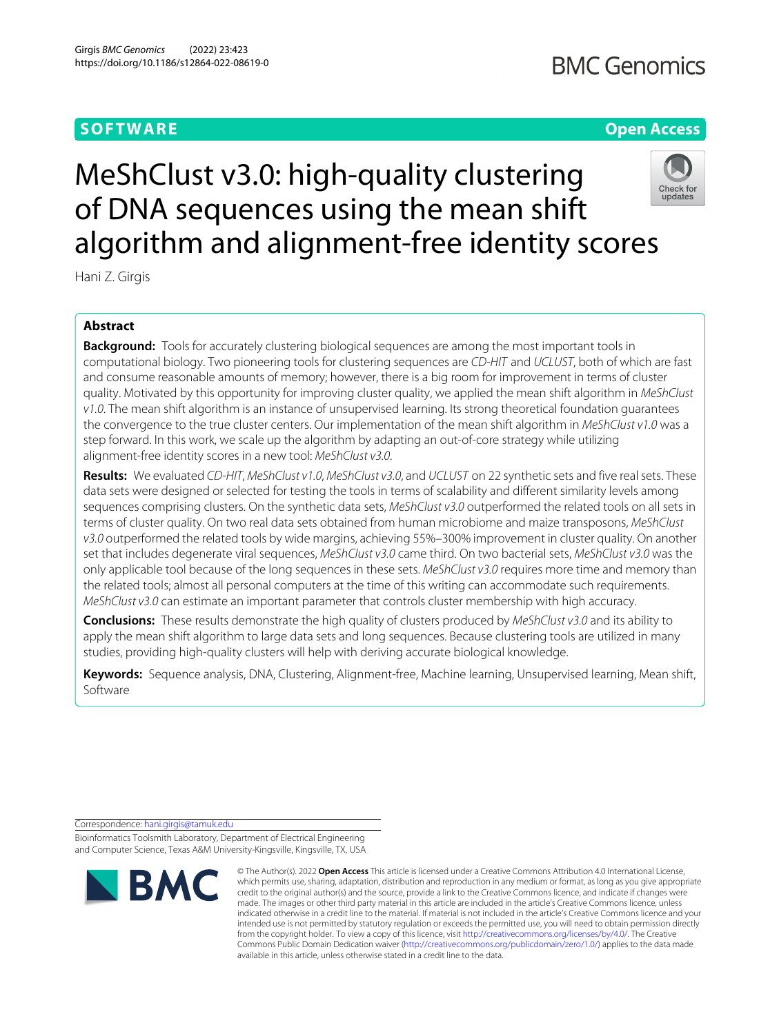## **SOFTWARE Open Access**

# **BMC Genomics**

# Check for<br>updates

MeShClust v3.0: high-quality clustering of DNA sequences using the mean shift algorithm and alignment-free identity scores

Hani Z. Girgis

### **Abstract**

**Background:** Tools for accurately clustering biological sequences are among the most important tools in computational biology. Two pioneering tools for clustering sequences are CD-HIT and UCLUST, both of which are fast and consume reasonable amounts of memory; however, there is a big room for improvement in terms of cluster quality. Motivated by this opportunity for improving cluster quality, we applied the mean shift algorithm in MeShClust v1.0. The mean shift algorithm is an instance of unsupervised learning. Its strong theoretical foundation guarantees the convergence to the true cluster centers. Our implementation of the mean shift algorithm in MeShClust v1.0 was a step forward. In this work, we scale up the algorithm by adapting an out-of-core strategy while utilizing alignment-free identity scores in a new tool: MeShClust v3.0.

**Results:** We evaluated CD-HIT, MeShClust v1.0, MeShClust v3.0, and UCLUST on 22 synthetic sets and five real sets. These data sets were designed or selected for testing the tools in terms of scalability and different similarity levels among sequences comprising clusters. On the synthetic data sets, MeShClust v3.0 outperformed the related tools on all sets in terms of cluster quality. On two real data sets obtained from human microbiome and maize transposons, MeShClust v3.0 outperformed the related tools by wide margins, achieving 55%-300% improvement in cluster quality. On another set that includes degenerate viral sequences, MeShClust v3.0 came third. On two bacterial sets, MeShClust v3.0 was the only applicable tool because of the long sequences in these sets. MeShClust v3.0 requires more time and memory than the related tools; almost all personal computers at the time of this writing can accommodate such requirements. MeShClust v3.0 can estimate an important parameter that controls cluster membership with high accuracy.

**Conclusions:** These results demonstrate the high quality of clusters produced by MeShClust v3.0 and its ability to apply the mean shift algorithm to large data sets and long sequences. Because clustering tools are utilized in many studies, providing high-quality clusters will help with deriving accurate biological knowledge.

**Keywords:** Sequence analysis, DNA, Clustering, Alignment-free, Machine learning, Unsupervised learning, Mean shift, Software

Correspondence: [hani.girgis@tamuk.edu](mailto: hani.girgis@tamuk.edu)

Bioinformatics Toolsmith Laboratory, Department of Electrical Engineering and Computer Science, Texas A&M University-Kingsville, Kingsville, TX, USA



<sup>©</sup> The Author(s). 2022 **Open Access** This article is licensed under a Creative Commons Attribution 4.0 International License, which permits use, sharing, adaptation, distribution and reproduction in any medium or format, as long as you give appropriate credit to the original author(s) and the source, provide a link to the Creative Commons licence, and indicate if changes were made. The images or other third party material in this article are included in the article's Creative Commons licence, unless indicated otherwise in a credit line to the material. If material is not included in the article's Creative Commons licence and your intended use is not permitted by statutory regulation or exceeds the permitted use, you will need to obtain permission directly from the copyright holder. To view a copy of this licence, visit [http://creativecommons.org/licenses/by/4.0/.](http://creativecommons.org/licenses/by/4.0/) The Creative Commons Public Domain Dedication waiver [\(http://creativecommons.org/publicdomain/zero/1.0/\)](http://creativecommons.org/publicdomain/zero/1.0/) applies to the data made available in this article, unless otherwise stated in a credit line to the data.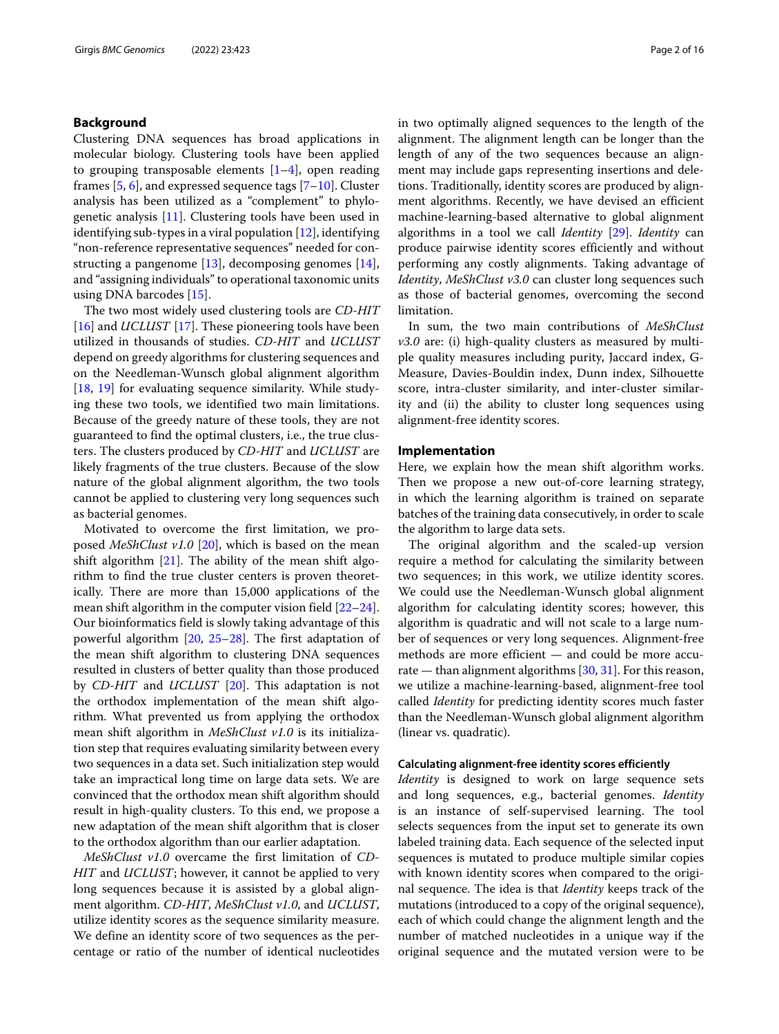#### **Background**

Clustering DNA sequences has broad applications in molecular biology. Clustering tools have been applied to grouping transposable elements  $[1-4]$  $[1-4]$ , open reading frames  $[5, 6]$  $[5, 6]$  $[5, 6]$ , and expressed sequence tags  $[7-10]$  $[7-10]$ . Cluster analysis has been utilized as a "complement" to phylogenetic analysis [\[11\]](#page-15-6). Clustering tools have been used in identifying sub-types in a viral population [\[12\]](#page-15-7), identifying "non-reference representative sequences" needed for constructing a pangenome [\[13\]](#page-15-8), decomposing genomes [\[14\]](#page-15-9), and "assigning individuals" to operational taxonomic units using DNA barcodes [\[15\]](#page-15-10).

The two most widely used clustering tools are *CD-HIT* [\[16\]](#page-15-11) and *UCLUST* [\[17\]](#page-15-12). These pioneering tools have been utilized in thousands of studies. *CD-HIT* and *UCLUST* depend on greedy algorithms for clustering sequences and on the Needleman-Wunsch global alignment algorithm [\[18,](#page-15-13) [19\]](#page-15-14) for evaluating sequence similarity. While studying these two tools, we identified two main limitations. Because of the greedy nature of these tools, they are not guaranteed to find the optimal clusters, i.e., the true clusters. The clusters produced by *CD-HIT* and *UCLUST* are likely fragments of the true clusters. Because of the slow nature of the global alignment algorithm, the two tools cannot be applied to clustering very long sequences such as bacterial genomes.

Motivated to overcome the first limitation, we proposed *MeShClust v1.0* [\[20\]](#page-15-15), which is based on the mean shift algorithm  $[21]$ . The ability of the mean shift algorithm to find the true cluster centers is proven theoretically. There are more than 15,000 applications of the mean shift algorithm in the computer vision field [\[22–](#page-15-17)[24\]](#page-15-18). Our bioinformatics field is slowly taking advantage of this powerful algorithm [\[20,](#page-15-15) [25](#page-15-19)[–28\]](#page-15-20). The first adaptation of the mean shift algorithm to clustering DNA sequences resulted in clusters of better quality than those produced by *CD-HIT* and *UCLUST* [\[20\]](#page-15-15). This adaptation is not the orthodox implementation of the mean shift algorithm. What prevented us from applying the orthodox mean shift algorithm in *MeShClust v1.0* is its initialization step that requires evaluating similarity between every two sequences in a data set. Such initialization step would take an impractical long time on large data sets. We are convinced that the orthodox mean shift algorithm should result in high-quality clusters. To this end, we propose a new adaptation of the mean shift algorithm that is closer to the orthodox algorithm than our earlier adaptation.

*MeShClust v1.0* overcame the first limitation of *CD-HIT* and *UCLUST*; however, it cannot be applied to very long sequences because it is assisted by a global alignment algorithm. *CD-HIT*, *MeShClust v1.0*, and *UCLUST*, utilize identity scores as the sequence similarity measure. We define an identity score of two sequences as the percentage or ratio of the number of identical nucleotides

in two optimally aligned sequences to the length of the alignment. The alignment length can be longer than the length of any of the two sequences because an alignment may include gaps representing insertions and deletions. Traditionally, identity scores are produced by alignment algorithms. Recently, we have devised an efficient machine-learning-based alternative to global alignment algorithms in a tool we call *Identity* [\[29\]](#page-15-21). *Identity* can produce pairwise identity scores efficiently and without performing any costly alignments. Taking advantage of *Identity*, *MeShClust v3.0* can cluster long sequences such as those of bacterial genomes, overcoming the second limitation.

In sum, the two main contributions of *MeShClust v3.0* are: (i) high-quality clusters as measured by multiple quality measures including purity, Jaccard index, G-Measure, Davies-Bouldin index, Dunn index, Silhouette score, intra-cluster similarity, and inter-cluster similarity and (ii) the ability to cluster long sequences using alignment-free identity scores.

#### **Implementation**

Here, we explain how the mean shift algorithm works. Then we propose a new out-of-core learning strategy, in which the learning algorithm is trained on separate batches of the training data consecutively, in order to scale the algorithm to large data sets.

The original algorithm and the scaled-up version require a method for calculating the similarity between two sequences; in this work, we utilize identity scores. We could use the Needleman-Wunsch global alignment algorithm for calculating identity scores; however, this algorithm is quadratic and will not scale to a large number of sequences or very long sequences. Alignment-free methods are more efficient — and could be more accurate — than alignment algorithms  $[30, 31]$  $[30, 31]$  $[30, 31]$ . For this reason, we utilize a machine-learning-based, alignment-free tool called *Identity* for predicting identity scores much faster than the Needleman-Wunsch global alignment algorithm (linear vs. quadratic).

#### **Calculating alignment-free identity scores efficiently**

*Identity* is designed to work on large sequence sets and long sequences, e.g., bacterial genomes. *Identity* is an instance of self-supervised learning. The tool selects sequences from the input set to generate its own labeled training data. Each sequence of the selected input sequences is mutated to produce multiple similar copies with known identity scores when compared to the original sequence. The idea is that *Identity* keeps track of the mutations (introduced to a copy of the original sequence), each of which could change the alignment length and the number of matched nucleotides in a unique way if the original sequence and the mutated version were to be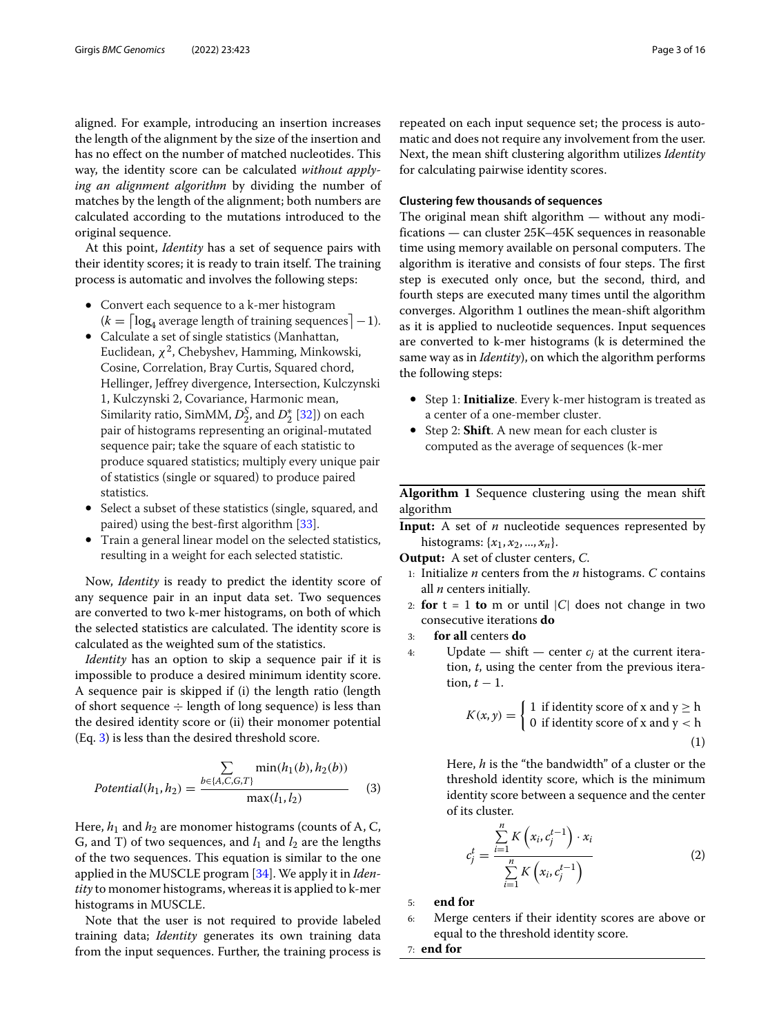aligned. For example, introducing an insertion increases the length of the alignment by the size of the insertion and has no effect on the number of matched nucleotides. This way, the identity score can be calculated *without applying an alignment algorithm* by dividing the number of matches by the length of the alignment; both numbers are calculated according to the mutations introduced to the original sequence.

At this point, *Identity* has a set of sequence pairs with their identity scores; it is ready to train itself. The training process is automatic and involves the following steps:

- Convert each sequence to a k-mer histogram  $(k = \lceil \log_4 \text{average length of training sequences} \rceil - 1).$
- Calculate a set of single statistics (Manhattan, Euclidean,  $\chi^2$ , Chebyshev, Hamming, Minkowski, Cosine, Correlation, Bray Curtis, Squared chord, Hellinger, Jeffrey divergence, Intersection, Kulczynski 1, Kulczynski 2, Covariance, Harmonic mean, Similarity ratio, SimMM,  $D_2^S$ , and  $D_2^*$  [\[32\]](#page-15-24)) on each pair of histograms representing an original-mutated sequence pair; take the square of each statistic to produce squared statistics; multiply every unique pair of statistics (single or squared) to produce paired statistics.
- Select a subset of these statistics (single, squared, and paired) using the best-first algorithm [\[33\]](#page-15-25).
- Train a general linear model on the selected statistics, resulting in a weight for each selected statistic.

Now, *Identity* is ready to predict the identity score of any sequence pair in an input data set. Two sequences are converted to two k-mer histograms, on both of which the selected statistics are calculated. The identity score is calculated as the weighted sum of the statistics.

*Identity* has an option to skip a sequence pair if it is impossible to produce a desired minimum identity score. A sequence pair is skipped if (i) the length ratio (length of short sequence  $\div$  length of long sequence) is less than the desired identity score or (ii) their monomer potential (Eq. [3\)](#page-2-0) is less than the desired threshold score.

$$
Potential(h_1, h_2) = \frac{\sum_{b \in \{A, C, G, T\}} min(h_1(b), h_2(b))}{\max(l_1, l_2)}
$$
(3)

Here,  $h_1$  and  $h_2$  are monomer histograms (counts of A, C, G, and T) of two sequences, and  $l_1$  and  $l_2$  are the lengths of the two sequences. This equation is similar to the one applied in the MUSCLE program [\[34\]](#page-15-26). We apply it in *Identity* to monomer histograms, whereas it is applied to k-mer histograms in MUSCLE.

Note that the user is not required to provide labeled training data; *Identity* generates its own training data from the input sequences. Further, the training process is

repeated on each input sequence set; the process is automatic and does not require any involvement from the user. Next, the mean shift clustering algorithm utilizes *Identity* for calculating pairwise identity scores.

#### **Clustering few thousands of sequences**

The original mean shift algorithm — without any modifications — can cluster 25K–45K sequences in reasonable time using memory available on personal computers. The algorithm is iterative and consists of four steps. The first step is executed only once, but the second, third, and fourth steps are executed many times until the algorithm converges. Algorithm 1 outlines the mean-shift algorithm as it is applied to nucleotide sequences. Input sequences are converted to k-mer histograms (k is determined the same way as in *Identity*), on which the algorithm performs the following steps:

- Step 1: **Initialize**. Every k-mer histogram is treated as a center of a one-member cluster.
- Step 2: **Shift**. A new mean for each cluster is computed as the average of sequences (k-mer

**Algorithm 1** Sequence clustering using the mean shift algorithm

**Input:** A set of *n* nucleotide sequences represented by histograms:  $\{x_1, x_2, ..., x_n\}$ .

**Output:** A set of cluster centers, *C*.

- 1: Initialize *n* centers from the *n* histograms. *C* contains all *n* centers initially.
- 2: **for**  $t = 1$  **to** m or until  $|C|$  does not change in two consecutive iterations **do**
- 3: **for all** centers **do**
- <span id="page-2-0"></span>4: Update — shift — center  $c_j$  at the current iteration, *t*, using the center from the previous iteration,  $t - 1$ .

$$
K(x, y) = \begin{cases} 1 & \text{if identity score of } x \text{ and } y \ge h \\ 0 & \text{if identity score of } x \text{ and } y < h \end{cases} \tag{1}
$$

Here, *h* is the "the bandwidth" of a cluster or the threshold identity score, which is the minimum identity score between a sequence and the center of its cluster.

$$
c_j^t = \frac{\sum_{i=1}^n K(x_i, c_j^{t-1}) \cdot x_i}{\sum_{i=1}^n K(x_i, c_j^{t-1})}
$$
 (2)

5: **end for**

6: Merge centers if their identity scores are above or equal to the threshold identity score.

7: **end for**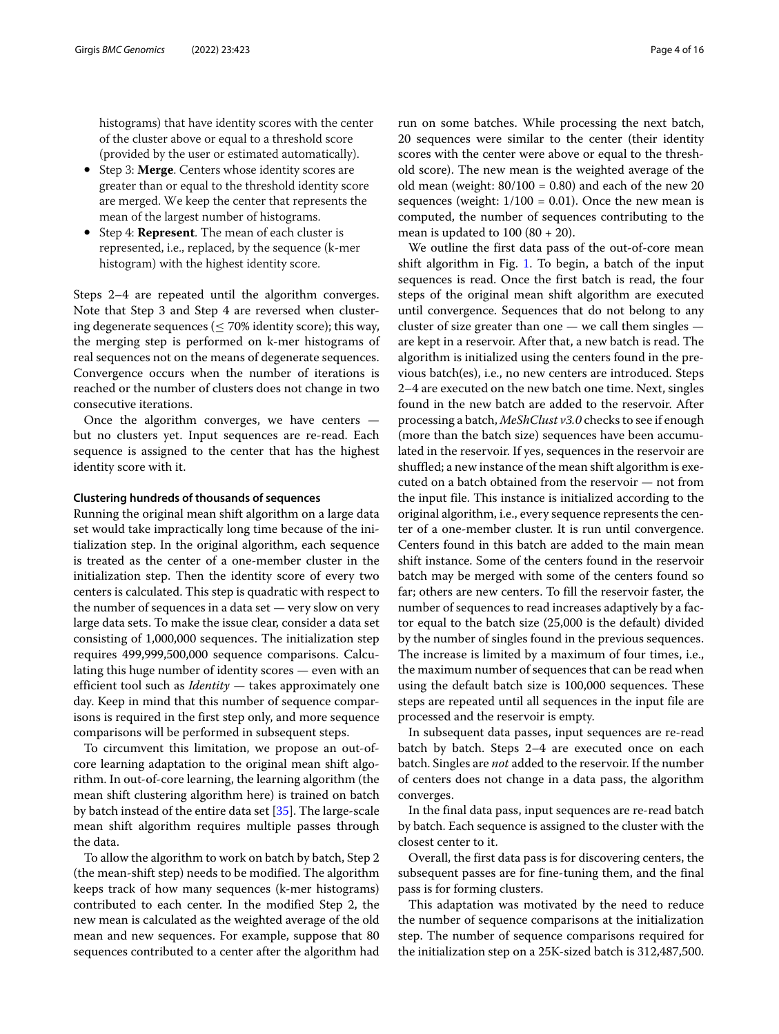histograms) that have identity scores with the center of the cluster above or equal to a threshold score (provided by the user or estimated automatically).

- Step 3: **Merge**. Centers whose identity scores are greater than or equal to the threshold identity score are merged. We keep the center that represents the mean of the largest number of histograms.
- Step 4: **Represent**. The mean of each cluster is represented, i.e., replaced, by the sequence (k-mer histogram) with the highest identity score.

Steps 2–4 are repeated until the algorithm converges. Note that Step 3 and Step 4 are reversed when clustering degenerate sequences ( $\leq$  70% identity score); this way, the merging step is performed on k-mer histograms of real sequences not on the means of degenerate sequences. Convergence occurs when the number of iterations is reached or the number of clusters does not change in two consecutive iterations.

Once the algorithm converges, we have centers but no clusters yet. Input sequences are re-read. Each sequence is assigned to the center that has the highest identity score with it.

#### **Clustering hundreds of thousands of sequences**

Running the original mean shift algorithm on a large data set would take impractically long time because of the initialization step. In the original algorithm, each sequence is treated as the center of a one-member cluster in the initialization step. Then the identity score of every two centers is calculated. This step is quadratic with respect to the number of sequences in a data set — very slow on very large data sets. To make the issue clear, consider a data set consisting of 1,000,000 sequences. The initialization step requires 499,999,500,000 sequence comparisons. Calculating this huge number of identity scores — even with an efficient tool such as *Identity* — takes approximately one day. Keep in mind that this number of sequence comparisons is required in the first step only, and more sequence comparisons will be performed in subsequent steps.

To circumvent this limitation, we propose an out-ofcore learning adaptation to the original mean shift algorithm. In out-of-core learning, the learning algorithm (the mean shift clustering algorithm here) is trained on batch by batch instead of the entire data set [\[35\]](#page-15-27). The large-scale mean shift algorithm requires multiple passes through the data.

To allow the algorithm to work on batch by batch, Step 2 (the mean-shift step) needs to be modified. The algorithm keeps track of how many sequences (k-mer histograms) contributed to each center. In the modified Step 2, the new mean is calculated as the weighted average of the old mean and new sequences. For example, suppose that 80 sequences contributed to a center after the algorithm had

run on some batches. While processing the next batch, 20 sequences were similar to the center (their identity scores with the center were above or equal to the threshold score). The new mean is the weighted average of the old mean (weight:  $80/100 = 0.80$ ) and each of the new 20 sequences (weight:  $1/100 = 0.01$ ). Once the new mean is computed, the number of sequences contributing to the mean is updated to  $100 (80 + 20)$ .

We outline the first data pass of the out-of-core mean shift algorithm in Fig. [1.](#page-4-0) To begin, a batch of the input sequences is read. Once the first batch is read, the four steps of the original mean shift algorithm are executed until convergence. Sequences that do not belong to any cluster of size greater than one — we call them singles are kept in a reservoir. After that, a new batch is read. The algorithm is initialized using the centers found in the previous batch(es), i.e., no new centers are introduced. Steps 2–4 are executed on the new batch one time. Next, singles found in the new batch are added to the reservoir. After processing a batch, *MeShClust v3.0* checks to see if enough (more than the batch size) sequences have been accumulated in the reservoir. If yes, sequences in the reservoir are shuffled; a new instance of the mean shift algorithm is executed on a batch obtained from the reservoir — not from the input file. This instance is initialized according to the original algorithm, i.e., every sequence represents the center of a one-member cluster. It is run until convergence. Centers found in this batch are added to the main mean shift instance. Some of the centers found in the reservoir batch may be merged with some of the centers found so far; others are new centers. To fill the reservoir faster, the number of sequences to read increases adaptively by a factor equal to the batch size (25,000 is the default) divided by the number of singles found in the previous sequences. The increase is limited by a maximum of four times, i.e., the maximum number of sequences that can be read when using the default batch size is 100,000 sequences. These steps are repeated until all sequences in the input file are processed and the reservoir is empty.

In subsequent data passes, input sequences are re-read batch by batch. Steps 2–4 are executed once on each batch. Singles are *not* added to the reservoir. If the number of centers does not change in a data pass, the algorithm converges.

In the final data pass, input sequences are re-read batch by batch. Each sequence is assigned to the cluster with the closest center to it.

Overall, the first data pass is for discovering centers, the subsequent passes are for fine-tuning them, and the final pass is for forming clusters.

This adaptation was motivated by the need to reduce the number of sequence comparisons at the initialization step. The number of sequence comparisons required for the initialization step on a 25K-sized batch is 312,487,500.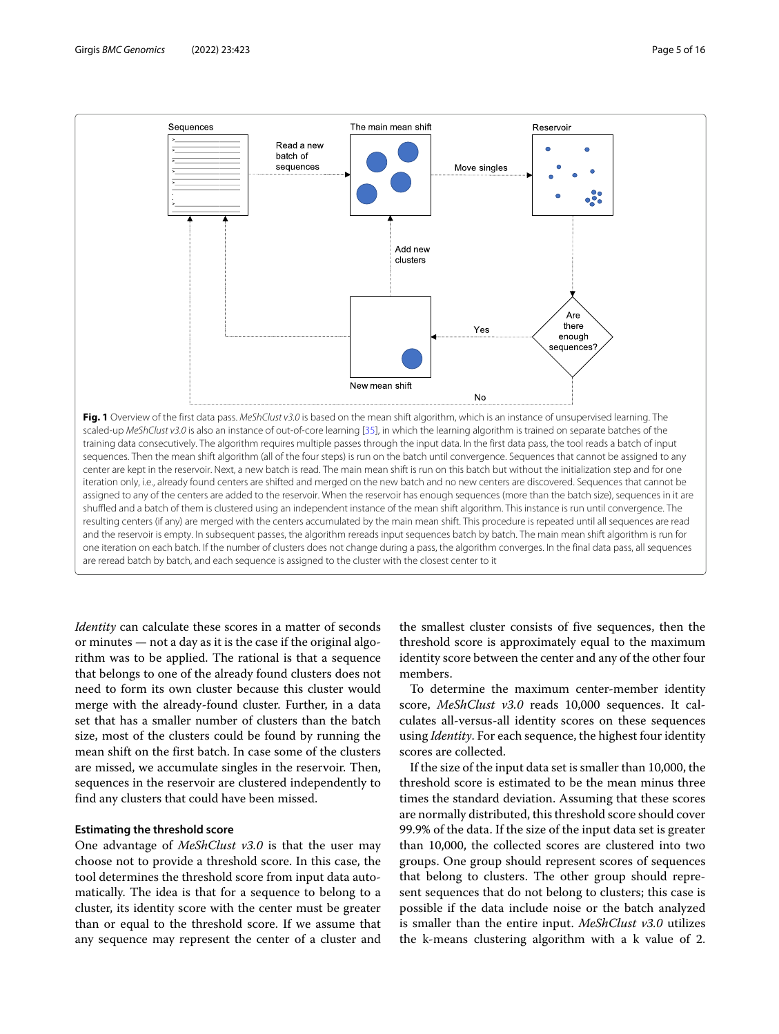

<span id="page-4-0"></span>*Identity* can calculate these scores in a matter of seconds or minutes — not a day as it is the case if the original algorithm was to be applied. The rational is that a sequence that belongs to one of the already found clusters does not need to form its own cluster because this cluster would merge with the already-found cluster. Further, in a data set that has a smaller number of clusters than the batch size, most of the clusters could be found by running the mean shift on the first batch. In case some of the clusters are missed, we accumulate singles in the reservoir. Then, sequences in the reservoir are clustered independently to find any clusters that could have been missed.

#### **Estimating the threshold score**

One advantage of *MeShClust v3.0* is that the user may choose not to provide a threshold score. In this case, the tool determines the threshold score from input data automatically. The idea is that for a sequence to belong to a cluster, its identity score with the center must be greater than or equal to the threshold score. If we assume that any sequence may represent the center of a cluster and the smallest cluster consists of five sequences, then the threshold score is approximately equal to the maximum identity score between the center and any of the other four members.

To determine the maximum center-member identity score, *MeShClust v3.0* reads 10,000 sequences. It calculates all-versus-all identity scores on these sequences using *Identity*. For each sequence, the highest four identity scores are collected.

If the size of the input data set is smaller than 10,000, the threshold score is estimated to be the mean minus three times the standard deviation. Assuming that these scores are normally distributed, this threshold score should cover 99.9% of the data. If the size of the input data set is greater than 10,000, the collected scores are clustered into two groups. One group should represent scores of sequences that belong to clusters. The other group should represent sequences that do not belong to clusters; this case is possible if the data include noise or the batch analyzed is smaller than the entire input. *MeShClust v3.0* utilizes the k-means clustering algorithm with a k value of 2.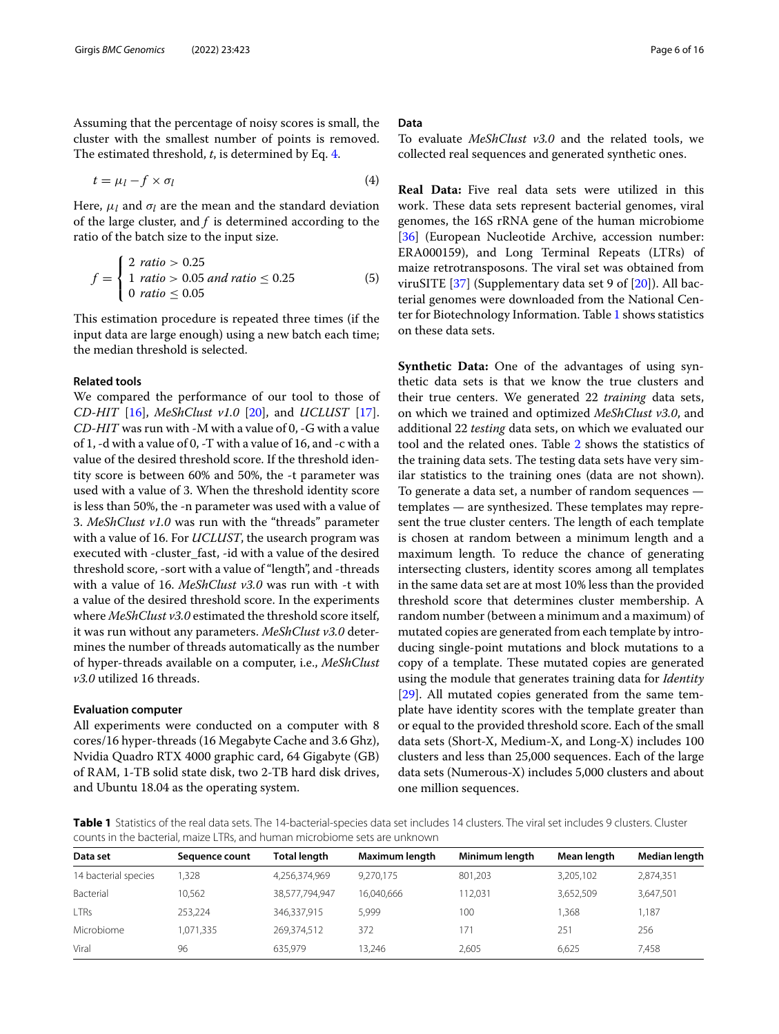Assuming that the percentage of noisy scores is small, the cluster with the smallest number of points is removed. The estimated threshold, *t*, is determined by Eq. [4.](#page-5-0)

$$
t = \mu_l - f \times \sigma_l \tag{4}
$$

Here,  $\mu_l$  and  $\sigma_l$  are the mean and the standard deviation of the large cluster, and *f* is determined according to the ratio of the batch size to the input size.

$$
f = \begin{cases} 2 \text{ ratio} > 0.25 \\ 1 \text{ ratio} > 0.05 \text{ and ratio} \le 0.25 \\ 0 \text{ ratio} \le 0.05 \end{cases}
$$
(5)

This estimation procedure is repeated three times (if the input data are large enough) using a new batch each time; the median threshold is selected.

#### **Related tools**

We compared the performance of our tool to those of *CD-HIT* [\[16\]](#page-15-11), *MeShClust v1.0* [\[20\]](#page-15-15), and *UCLUST* [\[17\]](#page-15-12). *CD-HIT* was run with -M with a value of 0, -G with a value of 1, -d with a value of 0, -T with a value of 16, and -c with a value of the desired threshold score. If the threshold identity score is between 60% and 50%, the -t parameter was used with a value of 3. When the threshold identity score is less than 50%, the -n parameter was used with a value of 3. *MeShClust v1.0* was run with the "threads" parameter with a value of 16. For *UCLUST*, the usearch program was executed with -cluster fast, -id with a value of the desired threshold score, -sort with a value of "length", and -threads with a value of 16. *MeShClust v3.0* was run with -t with a value of the desired threshold score. In the experiments where *MeShClust v3.0* estimated the threshold score itself, it was run without any parameters. *MeShClust v3.0* determines the number of threads automatically as the number of hyper-threads available on a computer, i.e., *MeShClust v3.0* utilized 16 threads.

#### **Evaluation computer**

All experiments were conducted on a computer with 8 cores/16 hyper-threads (16 Megabyte Cache and 3.6 Ghz), Nvidia Quadro RTX 4000 graphic card, 64 Gigabyte (GB) of RAM, 1-TB solid state disk, two 2-TB hard disk drives, and Ubuntu 18.04 as the operating system.

#### **Data**

<span id="page-5-0"></span>To evaluate *MeShClust v3.0* and the related tools, we collected real sequences and generated synthetic ones.

**Real Data:** Five real data sets were utilized in this work. These data sets represent bacterial genomes, viral genomes, the 16S rRNA gene of the human microbiome [\[36\]](#page-15-28) (European Nucleotide Archive, accession number: ERA000159), and Long Terminal Repeats (LTRs) of maize retrotransposons. The viral set was obtained from viruSITE [\[37\]](#page-15-29) (Supplementary data set 9 of [\[20\]](#page-15-15)). All bacterial genomes were downloaded from the National Center for Biotechnology Information. Table [1](#page-5-1) shows statistics on these data sets.

**Synthetic Data:** One of the advantages of using synthetic data sets is that we know the true clusters and their true centers. We generated 22 *training* data sets, on which we trained and optimized *MeShClust v3.0*, and additional 22 *testing* data sets, on which we evaluated our tool and the related ones. Table [2](#page-6-0) shows the statistics of the training data sets. The testing data sets have very similar statistics to the training ones (data are not shown). To generate a data set, a number of random sequences templates — are synthesized. These templates may represent the true cluster centers. The length of each template is chosen at random between a minimum length and a maximum length. To reduce the chance of generating intersecting clusters, identity scores among all templates in the same data set are at most 10% less than the provided threshold score that determines cluster membership. A random number (between a minimum and a maximum) of mutated copies are generated from each template by introducing single-point mutations and block mutations to a copy of a template. These mutated copies are generated using the module that generates training data for *Identity* [\[29\]](#page-15-21). All mutated copies generated from the same template have identity scores with the template greater than or equal to the provided threshold score. Each of the small data sets (Short-X, Medium-X, and Long-X) includes 100 clusters and less than 25,000 sequences. Each of the large data sets (Numerous-X) includes 5,000 clusters and about one million sequences.

<span id="page-5-1"></span>**Table 1** Statistics of the real data sets. The 14-bacterial-species data set includes 14 clusters. The viral set includes 9 clusters. Cluster counts in the bacterial, maize LTRs, and human microbiome sets are unknown

| Data set             | Sequence count | <b>Total length</b> | Maximum length | Minimum length | Mean length | Median length |
|----------------------|----------------|---------------------|----------------|----------------|-------------|---------------|
| 14 bacterial species | .328           | 4,256,374,969       | 9.270.175      | 801,203        | 3,205,102   | 2,874,351     |
| Bacterial            | 10.562         | 38,577,794,947      | 16,040,666     | 112.031        | 3,652,509   | 3,647,501     |
| <b>LTRs</b>          | 253.224        | 346,337,915         | 5,999          | 100            | 1.368       | 1,187         |
| Microbiome           | 1.071.335      | 269.374.512         | 372            | 171            | 251         | 256           |
| Viral                | 96             | 635.979             | 13.246         | 2.605          | 6.625       | 7.458         |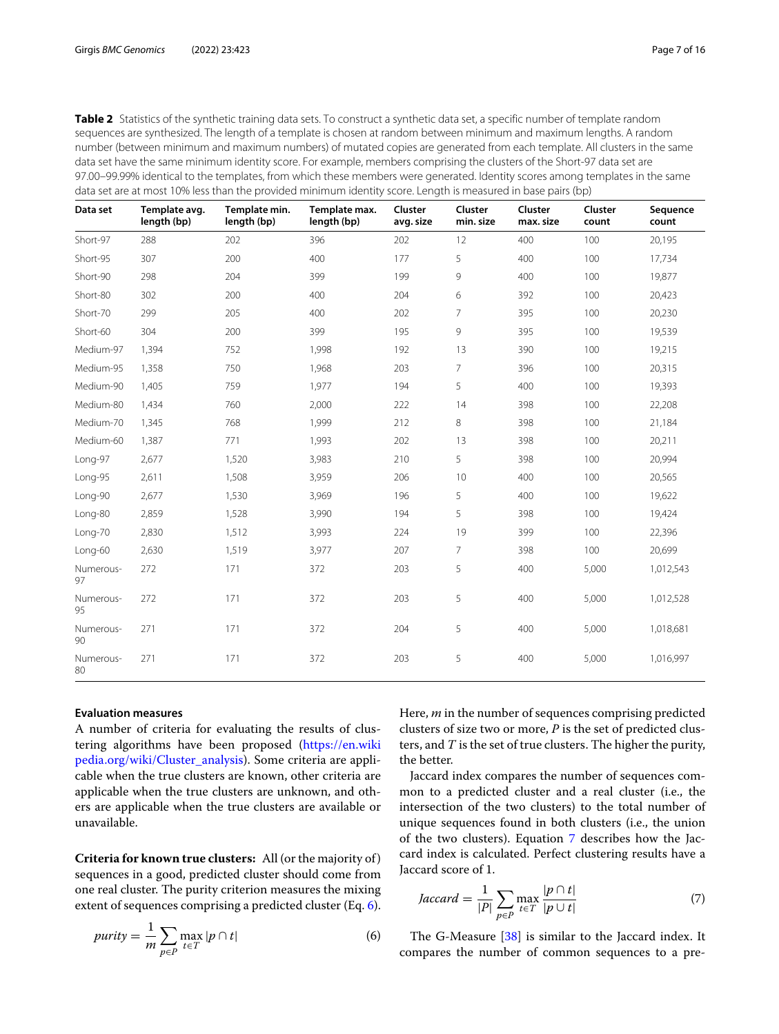<span id="page-6-0"></span>Table 2 Statistics of the synthetic training data sets. To construct a synthetic data set, a specific number of template random sequences are synthesized. The length of a template is chosen at random between minimum and maximum lengths. A random number (between minimum and maximum numbers) of mutated copies are generated from each template. All clusters in the same data set have the same minimum identity score. For example, members comprising the clusters of the Short-97 data set are 97.00–99.99% identical to the templates, from which these members were generated. Identity scores among templates in the same data set are at most 10% less than the provided minimum identity score. Length is measured in base pairs (bp)

| Data set        | Template avg.<br>length (bp) | Template min.<br>length (bp) | Template max.<br>length (bp) | Cluster<br>avg. size | Cluster<br>min. size | Cluster<br>max. size | Cluster<br>count | Sequence<br>count |
|-----------------|------------------------------|------------------------------|------------------------------|----------------------|----------------------|----------------------|------------------|-------------------|
| Short-97        | 288                          | 202                          | 396                          | 202                  | 12                   | 400                  | 100              | 20,195            |
| Short-95        | 307                          | 200                          | 400                          | 177                  | 5                    | 400                  | 100              | 17,734            |
| Short-90        | 298                          | 204                          | 399                          | 199                  | 9                    | 400                  | 100              | 19,877            |
| Short-80        | 302                          | 200                          | 400                          | 204                  | 6                    | 392                  | 100              | 20,423            |
| Short-70        | 299                          | 205                          | 400                          | 202                  | 7                    | 395                  | 100              | 20,230            |
| Short-60        | 304                          | 200                          | 399                          | 195                  | 9                    | 395                  | 100              | 19,539            |
| Medium-97       | 1,394                        | 752                          | 1,998                        | 192                  | 13                   | 390                  | 100              | 19,215            |
| Medium-95       | 1,358                        | 750                          | 1,968                        | 203                  | $\overline{7}$       | 396                  | 100              | 20,315            |
| Medium-90       | 1,405                        | 759                          | 1,977                        | 194                  | 5                    | 400                  | 100              | 19,393            |
| Medium-80       | 1,434                        | 760                          | 2,000                        | 222                  | 14                   | 398                  | 100              | 22,208            |
| Medium-70       | 1,345                        | 768                          | 1,999                        | 212                  | 8                    | 398                  | 100              | 21,184            |
| Medium-60       | 1,387                        | 771                          | 1,993                        | 202                  | 13                   | 398                  | 100              | 20,211            |
| Long-97         | 2,677                        | 1,520                        | 3,983                        | 210                  | 5                    | 398                  | 100              | 20,994            |
| Long-95         | 2,611                        | 1,508                        | 3,959                        | 206                  | 10                   | 400                  | 100              | 20,565            |
| Long-90         | 2,677                        | 1,530                        | 3,969                        | 196                  | 5                    | 400                  | 100              | 19,622            |
| Long-80         | 2,859                        | 1,528                        | 3,990                        | 194                  | 5                    | 398                  | 100              | 19,424            |
| Long-70         | 2,830                        | 1,512                        | 3,993                        | 224                  | 19                   | 399                  | 100              | 22,396            |
| Long-60         | 2,630                        | 1,519                        | 3,977                        | 207                  | $7^{\circ}$          | 398                  | 100              | 20,699            |
| Numerous-<br>97 | 272                          | 171                          | 372                          | 203                  | 5                    | 400                  | 5,000            | 1,012,543         |
| Numerous-<br>95 | 272                          | 171                          | 372                          | 203                  | 5                    | 400                  | 5,000            | 1,012,528         |
| Numerous-<br>90 | 271                          | 171                          | 372                          | 204                  | 5                    | 400                  | 5,000            | 1,018,681         |
| Numerous-<br>80 | 271                          | 171                          | 372                          | 203                  | 5                    | 400                  | 5,000            | 1,016,997         |

#### **Evaluation measures**

A number of criteria for evaluating the results of clustering algorithms have been proposed (https://en.wiki pedia.org/wiki/Cluster\_analysis). Some criteria are applicable when the true clusters are known, other criteria are applicable when the true clusters are unknown, and others are applicable when the true clusters are available or unavailable.

**Criteria for known true clusters:** All (or the majority of ) sequences in a good, predicted cluster should come from one real cluster. The purity criterion measures the mixing extent of sequences comprising a predicted cluster (Eq. [6\)](#page-6-1).

$$
purity = \frac{1}{m} \sum_{p \in P} \max_{t \in T} |p \cap t|
$$
 (6)

Here, *m* in the number of sequences comprising predicted clusters of size two or more, *P* is the set of predicted clusters, and *T* is the set of true clusters. The higher the purity, the better.

Jaccard index compares the number of sequences common to a predicted cluster and a real cluster (i.e., the intersection of the two clusters) to the total number of unique sequences found in both clusters (i.e., the union of the two clusters). Equation [7](#page-6-2) describes how the Jaccard index is calculated. Perfect clustering results have a Jaccard score of 1.

<span id="page-6-2"></span>
$$
Jaccard = \frac{1}{|P|} \sum_{p \in P} \max_{t \in T} \frac{|p \cap t|}{|p \cup t|} \tag{7}
$$

<span id="page-6-1"></span>The G-Measure [\[38\]](#page-15-30) is similar to the Jaccard index. It compares the number of common sequences to a pre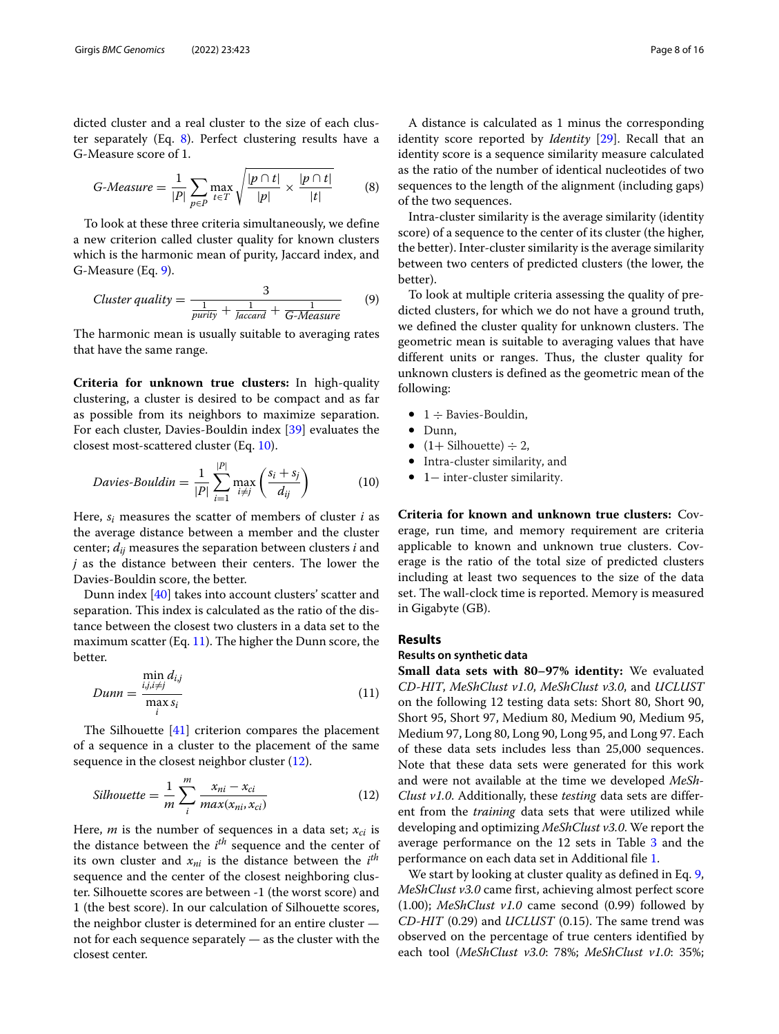dicted cluster and a real cluster to the size of each cluster separately (Eq. [8\)](#page-7-0). Perfect clustering results have a G-Measure score of 1.

<span id="page-7-0"></span>
$$
G-Measure = \frac{1}{|P|} \sum_{p \in P} \max_{t \in T} \sqrt{\frac{|p \cap t|}{|p|} \times \frac{|p \cap t|}{|t|}} \tag{8}
$$

To look at these three criteria simultaneously, we define a new criterion called cluster quality for known clusters which is the harmonic mean of purity, Jaccard index, and G-Measure (Eq. [9\)](#page-7-1).

<span id="page-7-1"></span>
$$
Cluster quality = \frac{3}{\frac{1}{purity} + \frac{1}{Jaccard} + \frac{1}{G-Measure}} \tag{9}
$$

The harmonic mean is usually suitable to averaging rates that have the same range.

**Criteria for unknown true clusters:** In high-quality clustering, a cluster is desired to be compact and as far as possible from its neighbors to maximize separation. For each cluster, Davies-Bouldin index [\[39\]](#page-15-31) evaluates the closest most-scattered cluster (Eq. [10\)](#page-7-2).

$$
Davies-Bouldin = \frac{1}{|P|} \sum_{i=1}^{|P|} \max_{i \neq j} \left( \frac{s_i + s_j}{d_{ij}} \right) \tag{10}
$$

Here, *si* measures the scatter of members of cluster *i* as the average distance between a member and the cluster center;  $d_{ij}$  measures the separation between clusters  $i$  and *j* as the distance between their centers. The lower the Davies-Bouldin score, the better.

Dunn index [\[40\]](#page-15-32) takes into account clusters' scatter and separation. This index is calculated as the ratio of the distance between the closest two clusters in a data set to the maximum scatter (Eq. [11\)](#page-7-3). The higher the Dunn score, the better.

<span id="page-7-3"></span>
$$
Dunn = \frac{\min_{i,j,i \neq j} d_{i,j}}{\max_{i} s_i}
$$
(11)

The Silhouette [\[41\]](#page-15-33) criterion compares the placement of a sequence in a cluster to the placement of the same sequence in the closest neighbor cluster [\(12\)](#page-7-4).

$$
Silhouette = \frac{1}{m} \sum_{i}^{m} \frac{x_{ni} - x_{ci}}{max(x_{ni}, x_{ci})}
$$
 (12)

Here, *m* is the number of sequences in a data set;  $x_{ci}$  is the distance between the *i th* sequence and the center of its own cluster and  $x_{ni}$  is the distance between the  $i^{th}$ sequence and the center of the closest neighboring cluster. Silhouette scores are between -1 (the worst score) and 1 (the best score). In our calculation of Silhouette scores, the neighbor cluster is determined for an entire cluster not for each sequence separately — as the cluster with the closest center.

A distance is calculated as 1 minus the corresponding identity score reported by *Identity* [\[29\]](#page-15-21). Recall that an identity score is a sequence similarity measure calculated as the ratio of the number of identical nucleotides of two sequences to the length of the alignment (including gaps) of the two sequences.

Intra-cluster similarity is the average similarity (identity score) of a sequence to the center of its cluster (the higher, the better). Inter-cluster similarity is the average similarity between two centers of predicted clusters (the lower, the better).

To look at multiple criteria assessing the quality of predicted clusters, for which we do not have a ground truth, we defined the cluster quality for unknown clusters. The geometric mean is suitable to averaging values that have different units or ranges. Thus, the cluster quality for unknown clusters is defined as the geometric mean of the following:

- $\bullet$  1  $\div$  Bavies-Bouldin,
- Dunn,
- $(1 + \text{Silhouette}) \div 2$ ,
- <span id="page-7-2"></span>• Intra-cluster similarity, and
- 1− inter-cluster similarity.

**Criteria for known and unknown true clusters:** Coverage, run time, and memory requirement are criteria applicable to known and unknown true clusters. Coverage is the ratio of the total size of predicted clusters including at least two sequences to the size of the data set. The wall-clock time is reported. Memory is measured in Gigabyte (GB).

#### **Results**

#### **Results on synthetic data**

<span id="page-7-4"></span>**Small data sets with 80–97% identity:** We evaluated *CD-HIT*, *MeShClust v1.0*, *MeShClust v3.0*, and *UCLUST* on the following 12 testing data sets: Short 80, Short 90, Short 95, Short 97, Medium 80, Medium 90, Medium 95, Medium 97, Long 80, Long 90, Long 95, and Long 97. Each of these data sets includes less than 25,000 sequences. Note that these data sets were generated for this work and were not available at the time we developed *MeSh-Clust v1.0*. Additionally, these *testing* data sets are different from the *training* data sets that were utilized while developing and optimizing *MeShClust v3.0*. We report the average performance on the 12 sets in Table [3](#page-8-0) and the performance on each data set in Additional file [1.](#page-14-0)

We start by looking at cluster quality as defined in Eq. [9,](#page-7-1) *MeShClust v3.0* came first, achieving almost perfect score (1.00); *MeShClust v1.0* came second (0.99) followed by *CD-HIT* (0.29) and *UCLUST* (0.15). The same trend was observed on the percentage of true centers identified by each tool (*MeShClust v3.0*: 78%; *MeShClust v1.0*: 35%;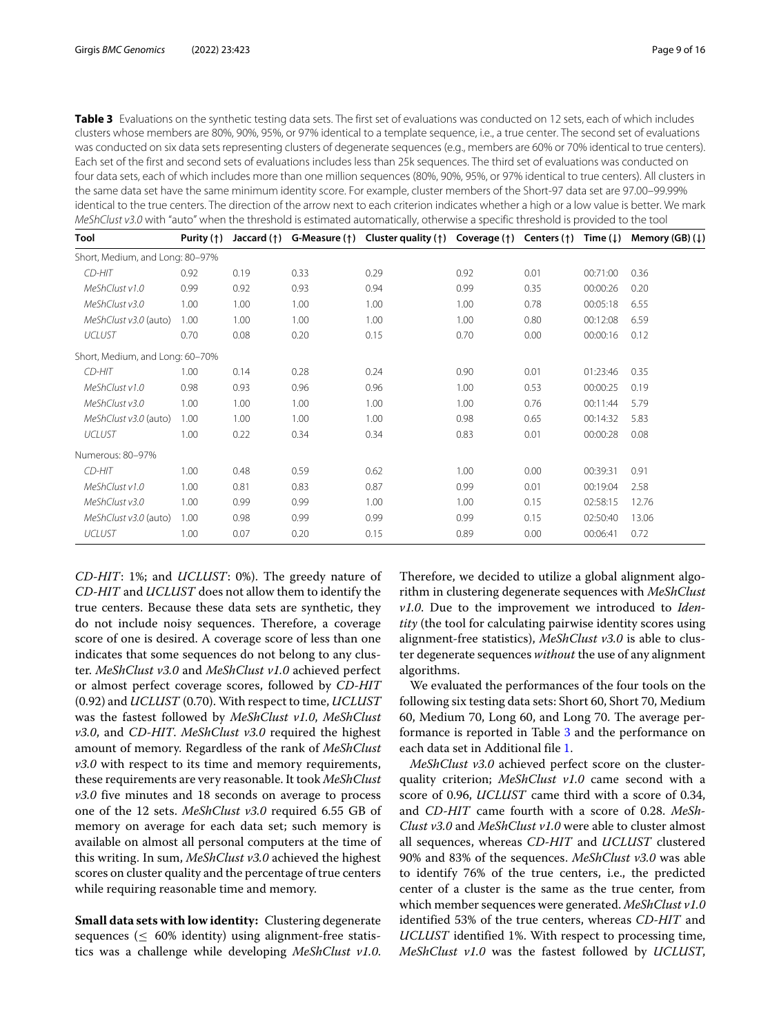<span id="page-8-0"></span>**Table 3** Evaluations on the synthetic testing data sets. The first set of evaluations was conducted on 12 sets, each of which includes clusters whose members are 80%, 90%, 95%, or 97% identical to a template sequence, i.e., a true center. The second set of evaluations was conducted on six data sets representing clusters of degenerate sequences (e.g., members are 60% or 70% identical to true centers). Each set of the first and second sets of evaluations includes less than 25k sequences. The third set of evaluations was conducted on four data sets, each of which includes more than one million sequences (80%, 90%, 95%, or 97% identical to true centers). All clusters in the same data set have the same minimum identity score. For example, cluster members of the Short-97 data set are 97.00–99.99% identical to the true centers. The direction of the arrow next to each criterion indicates whether a high or a low value is better. We mark MeShClust v3.0 with "auto" when the threshold is estimated automatically, otherwise a specific threshold is provided to the tool

| Tool                            | Purity $($ <sup>1</sup> $)$ | Jaccard $(\uparrow)$ |      | G-Measure ( $\uparrow$ ) Cluster quality ( $\uparrow$ ) Coverage ( $\uparrow$ ) Centers ( $\uparrow$ ) |      |      | Time $(\downarrow)$ | Memory (GB) $($ |
|---------------------------------|-----------------------------|----------------------|------|--------------------------------------------------------------------------------------------------------|------|------|---------------------|-----------------|
| Short, Medium, and Long: 80-97% |                             |                      |      |                                                                                                        |      |      |                     |                 |
| CD-HIT                          | 0.92                        | 0.19                 | 0.33 | 0.29                                                                                                   | 0.92 | 0.01 | 00:71:00            | 0.36            |
| MeShClust v1.0                  | 0.99                        | 0.92                 | 0.93 | 0.94                                                                                                   | 0.99 | 0.35 | 00:00:26            | 0.20            |
| MeShClust v3.0                  | 1.00                        | 1.00                 | 1.00 | 1.00                                                                                                   | 1.00 | 0.78 | 00:05:18            | 6.55            |
| MeShClust v3.0 (auto)           | 1.00                        | 1.00                 | 1.00 | 1.00                                                                                                   | 1.00 | 0.80 | 00:12:08            | 6.59            |
| <b>UCLUST</b>                   | 0.70                        | 0.08                 | 0.20 | 0.15                                                                                                   | 0.70 | 0.00 | 00:00:16            | 0.12            |
| Short, Medium, and Long: 60-70% |                             |                      |      |                                                                                                        |      |      |                     |                 |
| CD-HIT                          | 1.00                        | 0.14                 | 0.28 | 0.24                                                                                                   | 0.90 | 0.01 | 01:23:46            | 0.35            |
| MeShClust v1.0                  | 0.98                        | 0.93                 | 0.96 | 0.96                                                                                                   | 1.00 | 0.53 | 00:00:25            | 0.19            |
| MeShClust v3.0                  | 1.00                        | 1.00                 | 1.00 | 1.00                                                                                                   | 1.00 | 0.76 | 00:11:44            | 5.79            |
| MeShClust v3.0 (auto)           | 1.00                        | 1.00                 | 1.00 | 1.00                                                                                                   | 0.98 | 0.65 | 00:14:32            | 5.83            |
| <b>UCLUST</b>                   | 1.00                        | 0.22                 | 0.34 | 0.34                                                                                                   | 0.83 | 0.01 | 00:00:28            | 0.08            |
| Numerous: 80-97%                |                             |                      |      |                                                                                                        |      |      |                     |                 |
| CD-HIT                          | 1.00                        | 0.48                 | 0.59 | 0.62                                                                                                   | 1.00 | 0.00 | 00:39:31            | 0.91            |
| MeShClust v1.0                  | 1.00                        | 0.81                 | 0.83 | 0.87                                                                                                   | 0.99 | 0.01 | 00:19:04            | 2.58            |
| MeShClust v3.0                  | 1.00                        | 0.99                 | 0.99 | 1.00                                                                                                   | 1.00 | 0.15 | 02:58:15            | 12.76           |
| MeShClust v3.0 (auto)           | 1.00                        | 0.98                 | 0.99 | 0.99                                                                                                   | 0.99 | 0.15 | 02:50:40            | 13.06           |
| <b>UCLUST</b>                   | 1.00                        | 0.07                 | 0.20 | 0.15                                                                                                   | 0.89 | 0.00 | 00:06:41            | 0.72            |

*CD-HIT*: 1%; and *UCLUST*: 0%). The greedy nature of *CD-HIT* and *UCLUST* does not allow them to identify the true centers. Because these data sets are synthetic, they do not include noisy sequences. Therefore, a coverage score of one is desired. A coverage score of less than one indicates that some sequences do not belong to any cluster. *MeShClust v3.0* and *MeShClust v1.0* achieved perfect or almost perfect coverage scores, followed by *CD-HIT* (0.92) and *UCLUST* (0.70). With respect to time, *UCLUST* was the fastest followed by *MeShClust v1.0*, *MeShClust v3.0*, and *CD-HIT*. *MeShClust v3.0* required the highest amount of memory. Regardless of the rank of *MeShClust v3.0* with respect to its time and memory requirements, these requirements are very reasonable. It took *MeShClust v3.0* five minutes and 18 seconds on average to process one of the 12 sets. *MeShClust v3.0* required 6.55 GB of memory on average for each data set; such memory is available on almost all personal computers at the time of this writing. In sum, *MeShClust v3.0* achieved the highest scores on cluster quality and the percentage of true centers while requiring reasonable time and memory.

**Small data sets with low identity:** Clustering degenerate sequences (≤ 60% identity) using alignment-free statistics was a challenge while developing *MeShClust v1.0*. Therefore, we decided to utilize a global alignment algorithm in clustering degenerate sequences with *MeShClust v1.0*. Due to the improvement we introduced to *Identity* (the tool for calculating pairwise identity scores using alignment-free statistics), *MeShClust v3.0* is able to cluster degenerate sequences *without* the use of any alignment algorithms.

We evaluated the performances of the four tools on the following six testing data sets: Short 60, Short 70, Medium 60, Medium 70, Long 60, and Long 70. The average performance is reported in Table [3](#page-8-0) and the performance on each data set in Additional file [1.](#page-14-0)

*MeShClust v3.0* achieved perfect score on the clusterquality criterion; *MeShClust v1.0* came second with a score of 0.96, *UCLUST* came third with a score of 0.34, and *CD-HIT* came fourth with a score of 0.28. *MeSh-Clust v3.0* and *MeShClust v1.0* were able to cluster almost all sequences, whereas *CD-HIT* and *UCLUST* clustered 90% and 83% of the sequences. *MeShClust v3.0* was able to identify 76% of the true centers, i.e., the predicted center of a cluster is the same as the true center, from which member sequences were generated. *MeShClust v1.0* identified 53% of the true centers, whereas *CD-HIT* and *UCLUST* identified 1%. With respect to processing time, *MeShClust v1.0* was the fastest followed by *UCLUST*,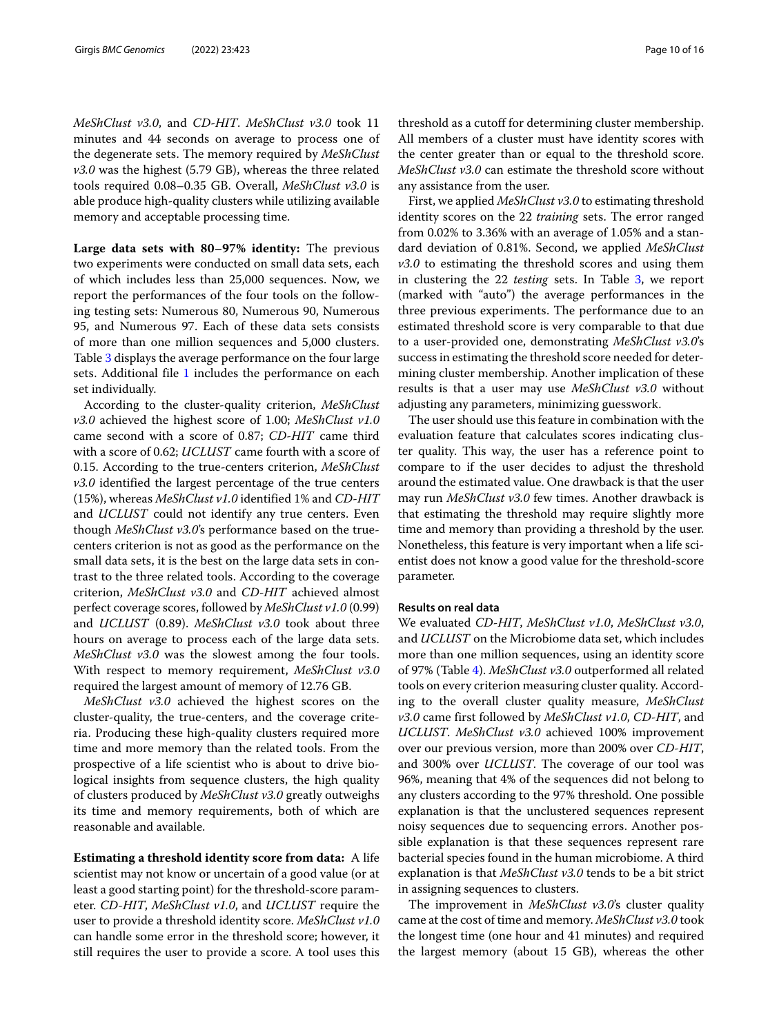*MeShClust v3.0*, and *CD-HIT*. *MeShClust v3.0* took 11 minutes and 44 seconds on average to process one of the degenerate sets. The memory required by *MeShClust v3.0* was the highest (5.79 GB), whereas the three related tools required 0.08–0.35 GB. Overall, *MeShClust v3.0* is able produce high-quality clusters while utilizing available memory and acceptable processing time.

**Large data sets with 80–97% identity:** The previous two experiments were conducted on small data sets, each of which includes less than 25,000 sequences. Now, we report the performances of the four tools on the following testing sets: Numerous 80, Numerous 90, Numerous 95, and Numerous 97. Each of these data sets consists of more than one million sequences and 5,000 clusters. Table [3](#page-8-0) displays the average performance on the four large sets. Additional file [1](#page-14-0) includes the performance on each set individually.

According to the cluster-quality criterion, *MeShClust v3.0* achieved the highest score of 1.00; *MeShClust v1.0* came second with a score of 0.87; *CD-HIT* came third with a score of 0.62; *UCLUST* came fourth with a score of 0.15. According to the true-centers criterion, *MeShClust v3.0* identified the largest percentage of the true centers (15%), whereas *MeShClust v1.0* identified 1% and *CD-HIT* and *UCLUST* could not identify any true centers. Even though *MeShClust v3.0*'s performance based on the truecenters criterion is not as good as the performance on the small data sets, it is the best on the large data sets in contrast to the three related tools. According to the coverage criterion, *MeShClust v3.0* and *CD-HIT* achieved almost perfect coverage scores, followed by *MeShClust v1.0* (0.99) and *UCLUST* (0.89). *MeShClust v3.0* took about three hours on average to process each of the large data sets. *MeShClust v3.0* was the slowest among the four tools. With respect to memory requirement, *MeShClust v3.0* required the largest amount of memory of 12.76 GB.

*MeShClust v3.0* achieved the highest scores on the cluster-quality, the true-centers, and the coverage criteria. Producing these high-quality clusters required more time and more memory than the related tools. From the prospective of a life scientist who is about to drive biological insights from sequence clusters, the high quality of clusters produced by *MeShClust v3.0* greatly outweighs its time and memory requirements, both of which are reasonable and available.

**Estimating a threshold identity score from data:** A life scientist may not know or uncertain of a good value (or at least a good starting point) for the threshold-score parameter. *CD-HIT*, *MeShClust v1.0*, and *UCLUST* require the user to provide a threshold identity score. *MeShClust v1.0* can handle some error in the threshold score; however, it still requires the user to provide a score. A tool uses this

threshold as a cutoff for determining cluster membership. All members of a cluster must have identity scores with the center greater than or equal to the threshold score. *MeShClust v3.0* can estimate the threshold score without any assistance from the user.

First, we applied *MeShClust v3.0* to estimating threshold identity scores on the 22 *training* sets. The error ranged from 0.02% to 3.36% with an average of 1.05% and a standard deviation of 0.81%. Second, we applied *MeShClust v3.0* to estimating the threshold scores and using them in clustering the 22 *testing* sets. In Table [3,](#page-8-0) we report (marked with "auto") the average performances in the three previous experiments. The performance due to an estimated threshold score is very comparable to that due to a user-provided one, demonstrating *MeShClust v3.0*'s success in estimating the threshold score needed for determining cluster membership. Another implication of these results is that a user may use *MeShClust v3.0* without adjusting any parameters, minimizing guesswork.

The user should use this feature in combination with the evaluation feature that calculates scores indicating cluster quality. This way, the user has a reference point to compare to if the user decides to adjust the threshold around the estimated value. One drawback is that the user may run *MeShClust v3.0* few times. Another drawback is that estimating the threshold may require slightly more time and memory than providing a threshold by the user. Nonetheless, this feature is very important when a life scientist does not know a good value for the threshold-score parameter.

#### **Results on real data**

We evaluated *CD-HIT*, *MeShClust v1.0*, *MeShClust v3.0*, and *UCLUST* on the Microbiome data set, which includes more than one million sequences, using an identity score of 97% (Table [4\)](#page-10-0). *MeShClust v3.0* outperformed all related tools on every criterion measuring cluster quality. According to the overall cluster quality measure, *MeShClust v3.0* came first followed by *MeShClust v1.0*, *CD-HIT*, and *UCLUST*. *MeShClust v3.0* achieved 100% improvement over our previous version, more than 200% over *CD-HIT*, and 300% over *UCLUST*. The coverage of our tool was 96%, meaning that 4% of the sequences did not belong to any clusters according to the 97% threshold. One possible explanation is that the unclustered sequences represent noisy sequences due to sequencing errors. Another possible explanation is that these sequences represent rare bacterial species found in the human microbiome. A third explanation is that *MeShClust v3.0* tends to be a bit strict in assigning sequences to clusters.

The improvement in *MeShClust v3.0*'s cluster quality came at the cost of time and memory. *MeShClust v3.0* took the longest time (one hour and 41 minutes) and required the largest memory (about 15 GB), whereas the other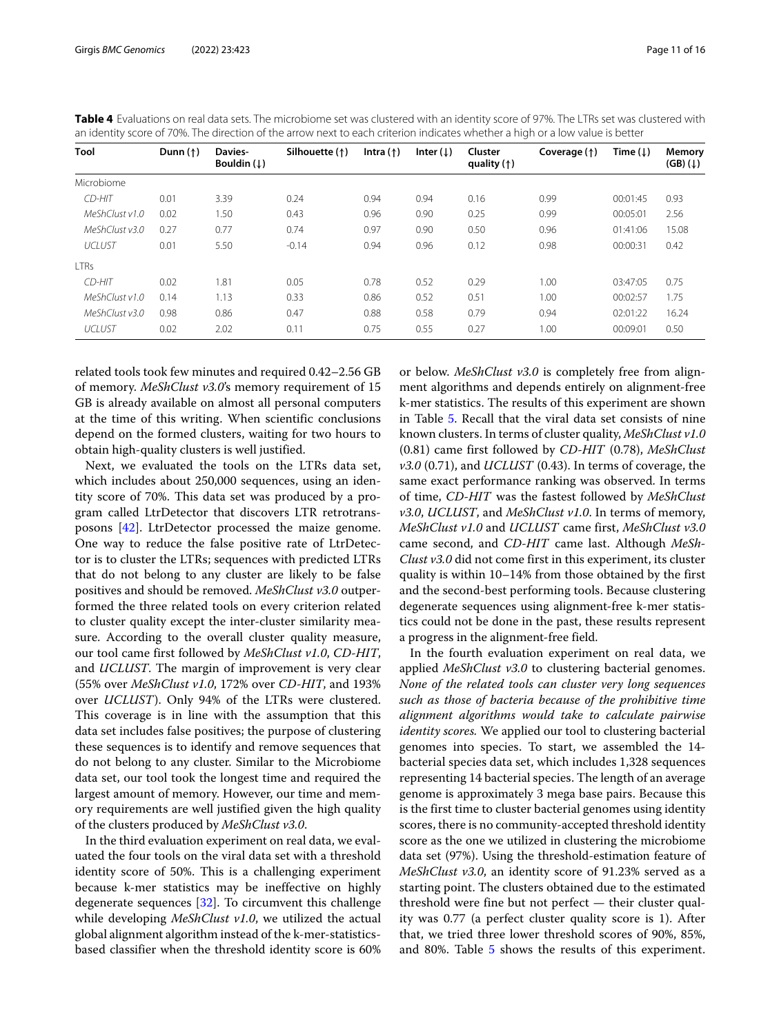| Tool           | Dunn $(\uparrow)$ | Davies-<br>Bouldin $(1)$ | Silhouette (1) | Intra $($ $\dagger)$ | Inter $(1)$ | Cluster<br>quality $(†)$ | Coverage (1) | Time $(\downarrow)$ | Memory<br>$(GB)(\downarrow)$ |
|----------------|-------------------|--------------------------|----------------|----------------------|-------------|--------------------------|--------------|---------------------|------------------------------|
| Microbiome     |                   |                          |                |                      |             |                          |              |                     |                              |
| CD-HIT         | 0.01              | 3.39                     | 0.24           | 0.94                 | 0.94        | 0.16                     | 0.99         | 00:01:45            | 0.93                         |
| MeShClustv1.0  | 0.02              | 1.50                     | 0.43           | 0.96                 | 0.90        | 0.25                     | 0.99         | 00:05:01            | 2.56                         |
| MeShClust v3.0 | 0.27              | 0.77                     | 0.74           | 0.97                 | 0.90        | 0.50                     | 0.96         | 01:41:06            | 15.08                        |
| <b>UCLUST</b>  | 0.01              | 5.50                     | $-0.14$        | 0.94                 | 0.96        | 0.12                     | 0.98         | 00:00:31            | 0.42                         |
| <b>LTRs</b>    |                   |                          |                |                      |             |                          |              |                     |                              |
| CD-HIT         | 0.02              | 1.81                     | 0.05           | 0.78                 | 0.52        | 0.29                     | 1.00         | 03:47:05            | 0.75                         |
| MeShClust v1.0 | 0.14              | 1.13                     | 0.33           | 0.86                 | 0.52        | 0.51                     | 1.00         | 00:02:57            | 1.75                         |
| MeShClustv3.0  | 0.98              | 0.86                     | 0.47           | 0.88                 | 0.58        | 0.79                     | 0.94         | 02:01:22            | 16.24                        |
| UCLUST         | 0.02              | 2.02                     | 0.11           | 0.75                 | 0.55        | 0.27                     | 1.00         | 00:09:01            | 0.50                         |

<span id="page-10-0"></span>**Table 4** Evaluations on real data sets. The microbiome set was clustered with an identity score of 97%. The LTRs set was clustered with an identity score of 70%. The direction of the arrow next to each criterion indicates whether a high or a low value is better

related tools took few minutes and required 0.42–2.56 GB of memory. *MeShClust v3.0*'s memory requirement of 15 GB is already available on almost all personal computers at the time of this writing. When scientific conclusions depend on the formed clusters, waiting for two hours to obtain high-quality clusters is well justified.

Next, we evaluated the tools on the LTRs data set, which includes about 250,000 sequences, using an identity score of 70%. This data set was produced by a program called LtrDetector that discovers LTR retrotransposons [\[42\]](#page-15-34). LtrDetector processed the maize genome. One way to reduce the false positive rate of LtrDetector is to cluster the LTRs; sequences with predicted LTRs that do not belong to any cluster are likely to be false positives and should be removed. *MeShClust v3.0* outperformed the three related tools on every criterion related to cluster quality except the inter-cluster similarity measure. According to the overall cluster quality measure, our tool came first followed by *MeShClust v1.0*, *CD-HIT*, and *UCLUST*. The margin of improvement is very clear (55% over *MeShClust v1.0*, 172% over *CD-HIT*, and 193% over *UCLUST*). Only 94% of the LTRs were clustered. This coverage is in line with the assumption that this data set includes false positives; the purpose of clustering these sequences is to identify and remove sequences that do not belong to any cluster. Similar to the Microbiome data set, our tool took the longest time and required the largest amount of memory. However, our time and memory requirements are well justified given the high quality of the clusters produced by *MeShClust v3.0*.

In the third evaluation experiment on real data, we evaluated the four tools on the viral data set with a threshold identity score of 50%. This is a challenging experiment because k-mer statistics may be ineffective on highly degenerate sequences [\[32\]](#page-15-24). To circumvent this challenge while developing *MeShClust v1.0*, we utilized the actual global alignment algorithm instead of the k-mer-statisticsbased classifier when the threshold identity score is 60% or below. *MeShClust v3.0* is completely free from alignment algorithms and depends entirely on alignment-free k-mer statistics. The results of this experiment are shown in Table [5.](#page-11-0) Recall that the viral data set consists of nine known clusters. In terms of cluster quality, *MeShClust v1.0* (0.81) came first followed by *CD-HIT* (0.78), *MeShClust v3.0* (0.71), and *UCLUST* (0.43). In terms of coverage, the same exact performance ranking was observed. In terms of time, *CD-HIT* was the fastest followed by *MeShClust v3.0*, *UCLUST*, and *MeShClust v1.0*. In terms of memory, *MeShClust v1.0* and *UCLUST* came first, *MeShClust v3.0* came second, and *CD-HIT* came last. Although *MeSh-Clust v3.0* did not come first in this experiment, its cluster quality is within 10–14% from those obtained by the first and the second-best performing tools. Because clustering degenerate sequences using alignment-free k-mer statistics could not be done in the past, these results represent a progress in the alignment-free field.

In the fourth evaluation experiment on real data, we applied *MeShClust v3.0* to clustering bacterial genomes. *None of the related tools can cluster very long sequences such as those of bacteria because of the prohibitive time alignment algorithms would take to calculate pairwise identity scores.* We applied our tool to clustering bacterial genomes into species. To start, we assembled the 14 bacterial species data set, which includes 1,328 sequences representing 14 bacterial species. The length of an average genome is approximately 3 mega base pairs. Because this is the first time to cluster bacterial genomes using identity scores, there is no community-accepted threshold identity score as the one we utilized in clustering the microbiome data set (97%). Using the threshold-estimation feature of *MeShClust v3.0*, an identity score of 91.23% served as a starting point. The clusters obtained due to the estimated threshold were fine but not perfect — their cluster quality was 0.77 (a perfect cluster quality score is 1). After that, we tried three lower threshold scores of 90%, 85%, and 80%. Table [5](#page-11-0) shows the results of this experiment.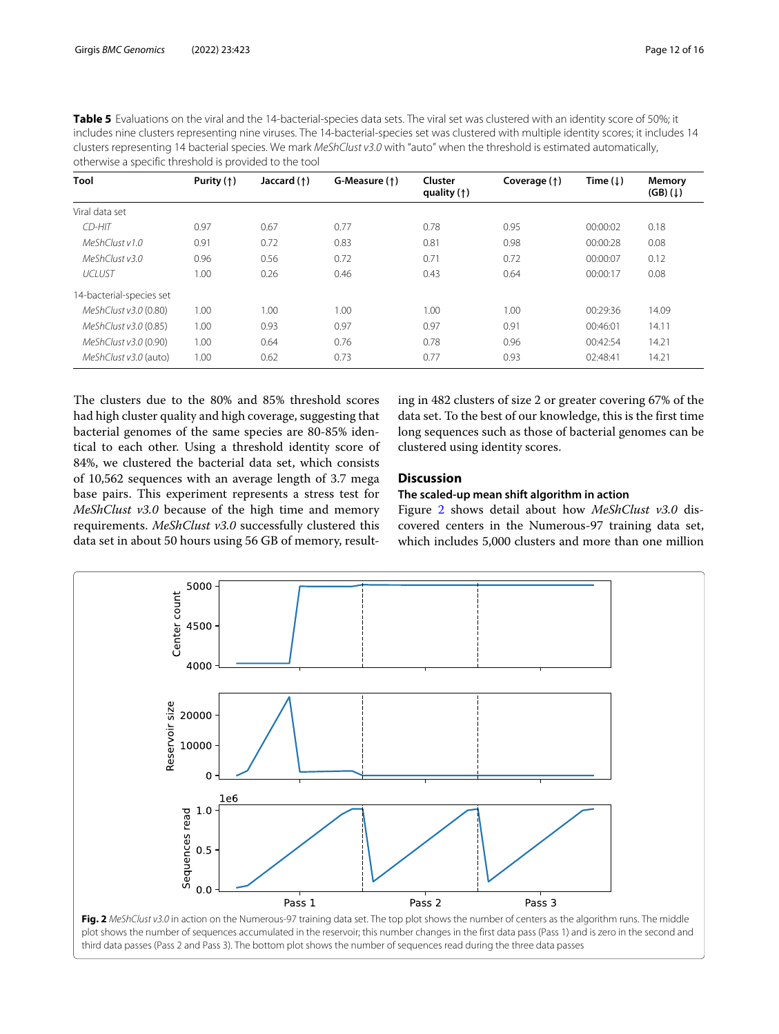<span id="page-11-0"></span>

| <b>Table 5</b> Evaluations on the viral and the 14-bacterial-species data sets. The viral set was clustered with an identity score of 50%; it |
|-----------------------------------------------------------------------------------------------------------------------------------------------|
| includes nine clusters representing nine viruses. The 14-bacterial-species set was clustered with multiple identity scores; it includes 14    |
| clusters representing 14 bacterial species. We mark MeShClust v3.0 with "auto" when the threshold is estimated automatically,                 |
| otherwise a specific threshold is provided to the tool                                                                                        |

| Tool                     | Purity $($ $\dagger)$ | Jaccard $($ $\dagger)$ | G-Measure (1) | Cluster<br>quality $(†)$ | Coverage (1) | Time $(1)$ | Memory<br>$(GB)(\downarrow)$ |
|--------------------------|-----------------------|------------------------|---------------|--------------------------|--------------|------------|------------------------------|
| Viral data set           |                       |                        |               |                          |              |            |                              |
| CD-HIT                   | 0.97                  | 0.67                   | 0.77          | 0.78                     | 0.95         | 00:00:02   | 0.18                         |
| MeShClustv1.0            | 0.91                  | 0.72                   | 0.83          | 0.81                     | 0.98         | 00:00:28   | 0.08                         |
| MeShClust v3.0           | 0.96                  | 0.56                   | 0.72          | 0.71                     | 0.72         | 00:00:07   | 0.12                         |
| <b>UCLUST</b>            | 1.00                  | 0.26                   | 0.46          | 0.43                     | 0.64         | 00:00:17   | 0.08                         |
| 14-bacterial-species set |                       |                        |               |                          |              |            |                              |
| MeShClust v3.0 (0.80)    | 1.00                  | 1.00                   | 1.00          | 1.00                     | 1.00         | 00:29:36   | 14.09                        |
| MeShClust v3.0 (0.85)    | 1.00                  | 0.93                   | 0.97          | 0.97                     | 0.91         | 00:46:01   | 14.11                        |
| MeShClust v3.0 (0.90)    | 1.00                  | 0.64                   | 0.76          | 0.78                     | 0.96         | 00:42:54   | 14.21                        |
| MeShClust v3.0 (auto)    | 1.00                  | 0.62                   | 0.73          | 0.77                     | 0.93         | 02:48:41   | 14.21                        |

The clusters due to the 80% and 85% threshold scores had high cluster quality and high coverage, suggesting that bacterial genomes of the same species are 80-85% identical to each other. Using a threshold identity score of 84%, we clustered the bacterial data set, which consists of 10,562 sequences with an average length of 3.7 mega base pairs. This experiment represents a stress test for *MeShClust v3.0* because of the high time and memory requirements. *MeShClust v3.0* successfully clustered this data set in about 50 hours using 56 GB of memory, resulting in 482 clusters of size 2 or greater covering 67% of the data set. To the best of our knowledge, this is the first time long sequences such as those of bacterial genomes can be clustered using identity scores.

#### **Discussion**

#### **The scaled-up mean shift algorithm in action**

Figure [2](#page-11-1) shows detail about how *MeShClust v3.0* discovered centers in the Numerous-97 training data set, which includes 5,000 clusters and more than one million



<span id="page-11-1"></span>plot shows the number of sequences accumulated in the reservoir; this number changes in the first data pass (Pass 1) and is zero in the second and third data passes (Pass 2 and Pass 3). The bottom plot shows the number of sequences read during the three data passes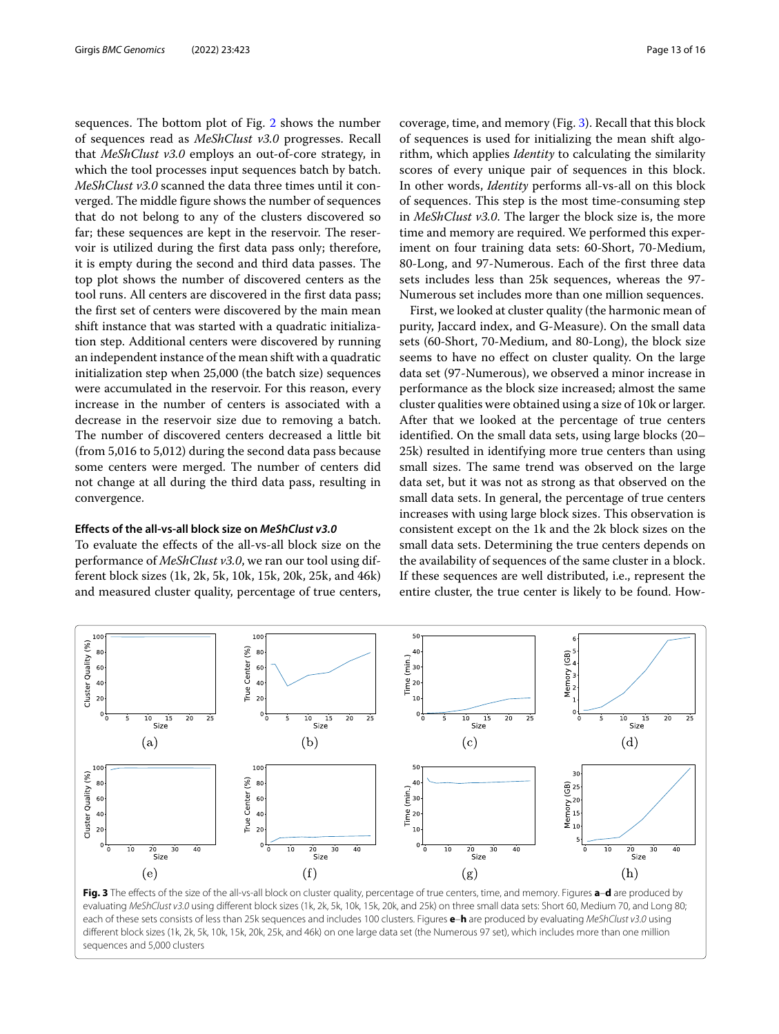sequences. The bottom plot of Fig. [2](#page-11-1) shows the number of sequences read as *MeShClust v3.0* progresses. Recall that *MeShClust v3.0* employs an out-of-core strategy, in which the tool processes input sequences batch by batch. *MeShClust v3.0* scanned the data three times until it converged. The middle figure shows the number of sequences that do not belong to any of the clusters discovered so far; these sequences are kept in the reservoir. The reservoir is utilized during the first data pass only; therefore, it is empty during the second and third data passes. The top plot shows the number of discovered centers as the tool runs. All centers are discovered in the first data pass; the first set of centers were discovered by the main mean shift instance that was started with a quadratic initialization step. Additional centers were discovered by running an independent instance of the mean shift with a quadratic initialization step when 25,000 (the batch size) sequences were accumulated in the reservoir. For this reason, every increase in the number of centers is associated with a decrease in the reservoir size due to removing a batch. The number of discovered centers decreased a little bit (from 5,016 to 5,012) during the second data pass because some centers were merged. The number of centers did not change at all during the third data pass, resulting in convergence.

#### **Effects of the all-vs-all block size on** *MeShClust v3.0*

To evaluate the effects of the all-vs-all block size on the performance of *MeShClust v3.0*, we ran our tool using different block sizes (1k, 2k, 5k, 10k, 15k, 20k, 25k, and 46k) and measured cluster quality, percentage of true centers, coverage, time, and memory (Fig. [3\)](#page-12-0). Recall that this block of sequences is used for initializing the mean shift algorithm, which applies *Identity* to calculating the similarity scores of every unique pair of sequences in this block. In other words, *Identity* performs all-vs-all on this block of sequences. This step is the most time-consuming step in *MeShClust v3.0*. The larger the block size is, the more time and memory are required. We performed this experiment on four training data sets: 60-Short, 70-Medium, 80-Long, and 97-Numerous. Each of the first three data sets includes less than 25k sequences, whereas the 97- Numerous set includes more than one million sequences.

First, we looked at cluster quality (the harmonic mean of purity, Jaccard index, and G-Measure). On the small data sets (60-Short, 70-Medium, and 80-Long), the block size seems to have no effect on cluster quality. On the large data set (97-Numerous), we observed a minor increase in performance as the block size increased; almost the same cluster qualities were obtained using a size of 10k or larger. After that we looked at the percentage of true centers identified. On the small data sets, using large blocks (20– 25k) resulted in identifying more true centers than using small sizes. The same trend was observed on the large data set, but it was not as strong as that observed on the small data sets. In general, the percentage of true centers increases with using large block sizes. This observation is consistent except on the 1k and the 2k block sizes on the small data sets. Determining the true centers depends on the availability of sequences of the same cluster in a block. If these sequences are well distributed, i.e., represent the entire cluster, the true center is likely to be found. How-



<span id="page-12-0"></span>**Fig. 3** The effects of the size of the all-vs-all block on cluster quality, percentage of true centers, time, and memory. Figures **a**–**d** are produced by evaluating MeShClust v3.0 using different block sizes (1k, 2k, 5k, 10k, 15k, 20k, and 25k) on three small data sets: Short 60, Medium 70, and Long 80; each of these sets consists of less than 25k sequences and includes 100 clusters. Figures **e**–**h** are produced by evaluating MeShClust v3.0 using different block sizes (1k, 2k, 5k, 10k, 15k, 20k, 25k, and 46k) on one large data set (the Numerous 97 set), which includes more than one million sequences and 5,000 clusters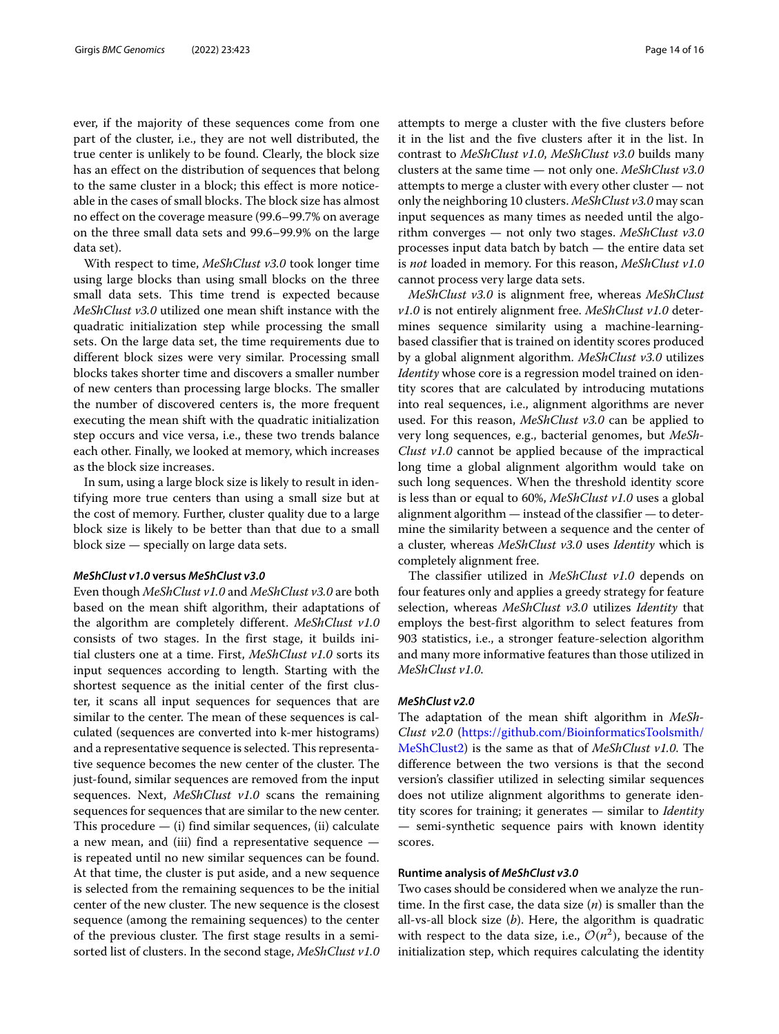ever, if the majority of these sequences come from one part of the cluster, i.e., they are not well distributed, the true center is unlikely to be found. Clearly, the block size has an effect on the distribution of sequences that belong to the same cluster in a block; this effect is more noticeable in the cases of small blocks. The block size has almost no effect on the coverage measure (99.6–99.7% on average on the three small data sets and 99.6–99.9% on the large data set).

With respect to time, *MeShClust v3.0* took longer time using large blocks than using small blocks on the three small data sets. This time trend is expected because *MeShClust v3.0* utilized one mean shift instance with the quadratic initialization step while processing the small sets. On the large data set, the time requirements due to different block sizes were very similar. Processing small blocks takes shorter time and discovers a smaller number of new centers than processing large blocks. The smaller the number of discovered centers is, the more frequent executing the mean shift with the quadratic initialization step occurs and vice versa, i.e., these two trends balance each other. Finally, we looked at memory, which increases as the block size increases.

In sum, using a large block size is likely to result in identifying more true centers than using a small size but at the cost of memory. Further, cluster quality due to a large block size is likely to be better than that due to a small block size — specially on large data sets.

#### *MeShClust v1.0* **versus** *MeShClust v3.0*

Even though *MeShClust v1.0* and *MeShClust v3.0* are both based on the mean shift algorithm, their adaptations of the algorithm are completely different. *MeShClust v1.0* consists of two stages. In the first stage, it builds initial clusters one at a time. First, *MeShClust v1.0* sorts its input sequences according to length. Starting with the shortest sequence as the initial center of the first cluster, it scans all input sequences for sequences that are similar to the center. The mean of these sequences is calculated (sequences are converted into k-mer histograms) and a representative sequence is selected. This representative sequence becomes the new center of the cluster. The just-found, similar sequences are removed from the input sequences. Next, *MeShClust v1.0* scans the remaining sequences for sequences that are similar to the new center. This procedure  $-$  (i) find similar sequences, (ii) calculate a new mean, and (iii) find a representative sequence is repeated until no new similar sequences can be found. At that time, the cluster is put aside, and a new sequence is selected from the remaining sequences to be the initial center of the new cluster. The new sequence is the closest sequence (among the remaining sequences) to the center of the previous cluster. The first stage results in a semisorted list of clusters. In the second stage, *MeShClust v1.0* attempts to merge a cluster with the five clusters before it in the list and the five clusters after it in the list. In contrast to *MeShClust v1.0*, *MeShClust v3.0* builds many clusters at the same time — not only one. *MeShClust v3.0* attempts to merge a cluster with every other cluster — not only the neighboring 10 clusters. *MeShClust v3.0* may scan input sequences as many times as needed until the algorithm converges — not only two stages. *MeShClust v3.0* processes input data batch by batch — the entire data set is *not* loaded in memory. For this reason, *MeShClust v1.0* cannot process very large data sets.

*MeShClust v3.0* is alignment free, whereas *MeShClust v1.0* is not entirely alignment free. *MeShClust v1.0* determines sequence similarity using a machine-learningbased classifier that is trained on identity scores produced by a global alignment algorithm. *MeShClust v3.0* utilizes *Identity* whose core is a regression model trained on identity scores that are calculated by introducing mutations into real sequences, i.e., alignment algorithms are never used. For this reason, *MeShClust v3.0* can be applied to very long sequences, e.g., bacterial genomes, but *MeSh-Clust v1.0* cannot be applied because of the impractical long time a global alignment algorithm would take on such long sequences. When the threshold identity score is less than or equal to 60%, *MeShClust v1.0* uses a global alignment algorithm — instead of the classifier — to determine the similarity between a sequence and the center of a cluster, whereas *MeShClust v3.0* uses *Identity* which is completely alignment free.

The classifier utilized in *MeShClust v1.0* depends on four features only and applies a greedy strategy for feature selection, whereas *MeShClust v3.0* utilizes *Identity* that employs the best-first algorithm to select features from 903 statistics, i.e., a stronger feature-selection algorithm and many more informative features than those utilized in *MeShClust v1.0*.

#### *MeShClust v2.0*

The adaptation of the mean shift algorithm in *MeSh-Clust v2.0* [\(https://github.com/BioinformaticsToolsmith/](https://github.com/BioinformaticsToolsmith/MeShClust2) [MeShClust2\)](https://github.com/BioinformaticsToolsmith/MeShClust2) is the same as that of *MeShClust v1.0*. The difference between the two versions is that the second version's classifier utilized in selecting similar sequences does not utilize alignment algorithms to generate identity scores for training; it generates — similar to *Identity* — semi-synthetic sequence pairs with known identity scores.

#### **Runtime analysis of** *MeShClust v3.0*

Two cases should be considered when we analyze the runtime. In the first case, the data size (*n*) is smaller than the all-vs-all block size (*b*). Here, the algorithm is quadratic with respect to the data size, i.e.,  $O(n^2)$ , because of the initialization step, which requires calculating the identity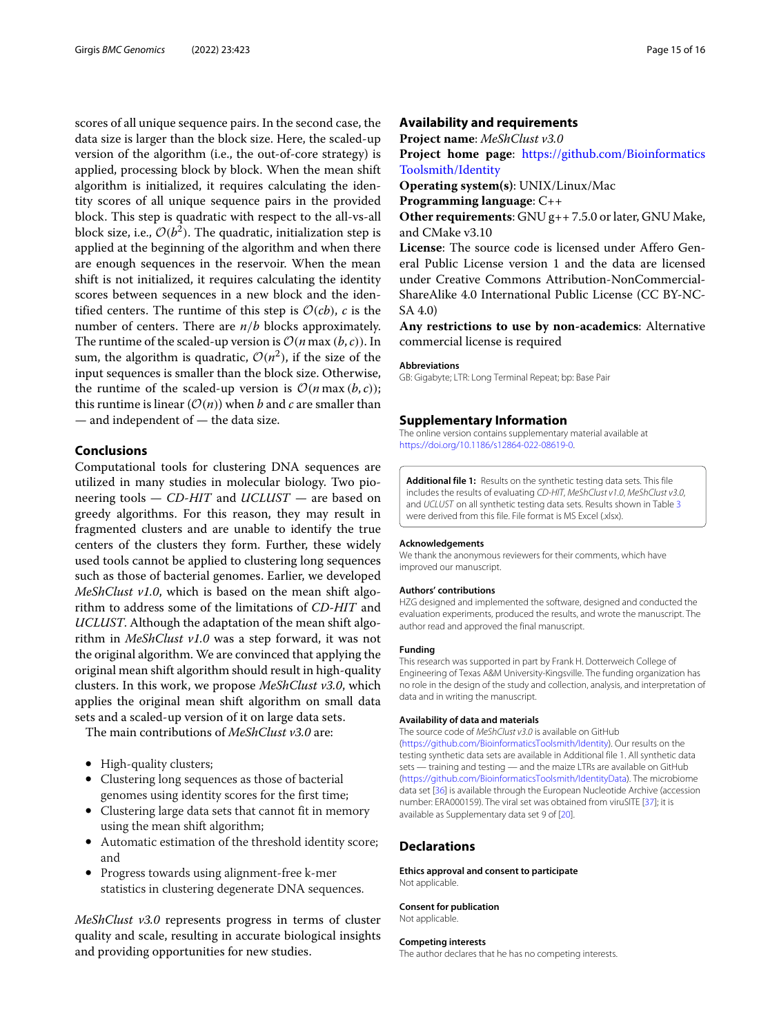scores of all unique sequence pairs. In the second case, the data size is larger than the block size. Here, the scaled-up version of the algorithm (i.e., the out-of-core strategy) is applied, processing block by block. When the mean shift algorithm is initialized, it requires calculating the identity scores of all unique sequence pairs in the provided block. This step is quadratic with respect to the all-vs-all block size, i.e.,  $\mathcal{O}(b^2)$ . The quadratic, initialization step is applied at the beginning of the algorithm and when there are enough sequences in the reservoir. When the mean shift is not initialized, it requires calculating the identity scores between sequences in a new block and the identified centers. The runtime of this step is  $\mathcal{O}(cb)$ , *c* is the number of centers. There are *n*/*b* blocks approximately. The runtime of the scaled-up version is  $O(n \max(b, c))$ . In sum, the algorithm is quadratic,  $\mathcal{O}(n^2)$ , if the size of the input sequences is smaller than the block size. Otherwise, the runtime of the scaled-up version is  $\mathcal{O}(n \max(b, c))$ ; this runtime is linear  $(\mathcal{O}(n))$  when *b* and *c* are smaller than — and independent of — the data size.

#### **Conclusions**

Computational tools for clustering DNA sequences are utilized in many studies in molecular biology. Two pioneering tools — *CD-HIT* and *UCLUST* — are based on greedy algorithms. For this reason, they may result in fragmented clusters and are unable to identify the true centers of the clusters they form. Further, these widely used tools cannot be applied to clustering long sequences such as those of bacterial genomes. Earlier, we developed *MeShClust v1.0*, which is based on the mean shift algorithm to address some of the limitations of *CD-HIT* and *UCLUST*. Although the adaptation of the mean shift algorithm in *MeShClust v1.0* was a step forward, it was not the original algorithm. We are convinced that applying the original mean shift algorithm should result in high-quality clusters. In this work, we propose *MeShClust v3.0*, which applies the original mean shift algorithm on small data sets and a scaled-up version of it on large data sets.

The main contributions of *MeShClust v3.0* are:

- High-quality clusters;
- Clustering long sequences as those of bacterial genomes using identity scores for the first time;
- Clustering large data sets that cannot fit in memory using the mean shift algorithm;
- Automatic estimation of the threshold identity score; and
- Progress towards using alignment-free k-mer statistics in clustering degenerate DNA sequences.

*MeShClust v3.0* represents progress in terms of cluster quality and scale, resulting in accurate biological insights and providing opportunities for new studies.

#### **Availability and requirements**

**Project name**: *MeShClust v3.0*

**Project home page**: [https://github.com/Bioinformatics](https://github.com/BioinformaticsToolsmith/Identity) [Toolsmith/Identity](https://github.com/BioinformaticsToolsmith/Identity)

**Operating system(s)**: UNIX/Linux/Mac

**Programming language**: C++

**Other requirements**: GNU g++ 7.5.0 or later, GNU Make, and CMake v3.10

**License**: The source code is licensed under Affero General Public License version 1 and the data are licensed under Creative Commons Attribution-NonCommercial-ShareAlike 4.0 International Public License (CC BY-NC-SA 4.0)

**Any restrictions to use by non-academics**: Alternative commercial license is required

#### **Abbreviations**

GB: Gigabyte; LTR: Long Terminal Repeat; bp: Base Pair

#### **Supplementary Information**

The online version contains supplementary material available at [https://doi.org/10.1186/s12864-022-08619-0.](https://doi.org/10.1186/s12864-022-08619-0)

<span id="page-14-0"></span>**Additional file 1:** Results on the synthetic testing data sets. This file includes the results of evaluating CD-HIT, MeShClust v1.0, MeShClust v3.0, and UCLUST on all synthetic testing data sets. Results shown in Table [3](#page-8-0) were derived from this file. File format is MS Excel (.xlsx).

#### **Acknowledgements**

We thank the anonymous reviewers for their comments, which have improved our manuscript.

#### **Authors' contributions**

HZG designed and implemented the software, designed and conducted the evaluation experiments, produced the results, and wrote the manuscript. The author read and approved the final manuscript.

#### **Funding**

This research was supported in part by Frank H. Dotterweich College of Engineering of Texas A&M University-Kingsville. The funding organization has no role in the design of the study and collection, analysis, and interpretation of data and in writing the manuscript.

#### **Availability of data and materials**

The source code of MeShClust v3.0 is available on GitHub

[\(https://github.com/BioinformaticsToolsmith/Identity\)](https://github.com/BioinformaticsToolsmith/Identity). Our results on the testing synthetic data sets are available in Additional file 1. All synthetic data sets — training and testing — and the maize LTRs are available on GitHub [\(https://github.com/BioinformaticsToolsmith/IdentityData\)](https://github.com/BioinformaticsToolsmith/IdentityData). The microbiome data set [\[36\]](#page-15-28) is available through the European Nucleotide Archive (accession number: ERA000159). The viral set was obtained from viruSITE [\[37\]](#page-15-29); it is available as Supplementary data set 9 of [\[20\]](#page-15-15).

#### **Declarations**

#### **Ethics approval and consent to participate** Not applicable.

**Consent for publication** Not applicable.

#### **Competing interests**

The author declares that he has no competing interests.